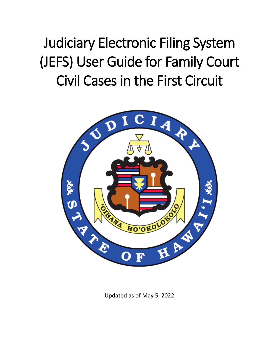Judiciary Electronic Filing System (JEFS) User Guide for Family Court Civil Cases in the First Circuit



Updated as of May 5, 2022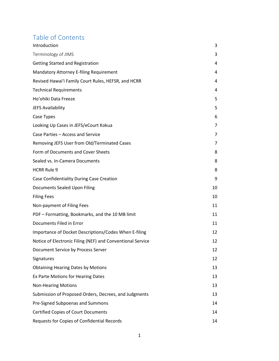# Table of Contents

| Introduction                                               | 3  |
|------------------------------------------------------------|----|
| Terminology of JIMS                                        | 3  |
| <b>Getting Started and Registration</b>                    | 4  |
| Mandatory Attorney E-filing Requirement                    | 4  |
| Revised Hawai'i Family Court Rules, HEFSR, and HCRR        | 4  |
| <b>Technical Requirements</b>                              | 4  |
| Ho'ohiki Data Freeze                                       | 5  |
| <b>JEFS Availability</b>                                   | 5  |
| Case Types                                                 | 6  |
| Looking Up Cases in JEFS/eCourt Kokua                      | 7  |
| Case Parties - Access and Service                          | 7  |
| Removing JEFS User from Old/Terminated Cases               | 7  |
| Form of Documents and Cover Sheets                         | 8  |
| Sealed vs. In-Camera Documents                             | 8  |
| <b>HCRR Rule 9</b>                                         | 8  |
| Case Confidentiality During Case Creation                  | 9  |
| Documents Sealed Upon Filing                               | 10 |
| <b>Filing Fees</b>                                         | 10 |
| Non-payment of Filing Fees                                 | 11 |
| PDF - Formatting, Bookmarks, and the 10 MB limit           | 11 |
| Documents Filed in Error                                   | 11 |
| Importance of Docket Descriptions/Codes When E-filing      | 12 |
| Notice of Electronic Filing (NEF) and Conventional Service | 12 |
| Document Service by Process Server                         | 12 |
| Signatures                                                 | 12 |
| <b>Obtaining Hearing Dates by Motions</b>                  | 13 |
| Ex Parte Motions for Hearing Dates                         | 13 |
| <b>Non-Hearing Motions</b>                                 | 13 |
| Submission of Proposed Orders, Decrees, and Judgments      | 13 |
| Pre-Signed Subpoenas and Summons                           | 14 |
| <b>Certified Copies of Court Documents</b>                 | 14 |
| Requests for Copies of Confidential Records                | 14 |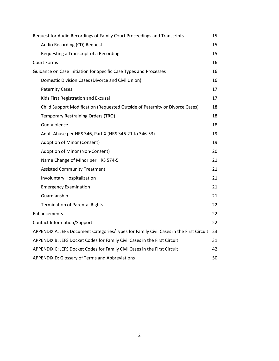| Request for Audio Recordings of Family Court Proceedings and Transcripts               | 15 |
|----------------------------------------------------------------------------------------|----|
| Audio Recording (CD) Request                                                           | 15 |
| Requesting a Transcript of a Recording                                                 | 15 |
| <b>Court Forms</b>                                                                     | 16 |
| Guidance on Case Initiation for Specific Case Types and Processes                      | 16 |
| Domestic Division Cases (Divorce and Civil Union)                                      | 16 |
| <b>Paternity Cases</b>                                                                 | 17 |
| Kids First Registration and Excusal                                                    | 17 |
| Child Support Modification (Requested Outside of Paternity or Divorce Cases)           | 18 |
| Temporary Restraining Orders (TRO)                                                     | 18 |
| <b>Gun Violence</b>                                                                    | 18 |
| Adult Abuse per HRS 346, Part X (HRS 346-21 to 346-53)                                 | 19 |
| Adoption of Minor (Consent)                                                            | 19 |
| Adoption of Minor (Non-Consent)                                                        | 20 |
| Name Change of Minor per HRS 574-5                                                     | 21 |
| <b>Assisted Community Treatment</b>                                                    | 21 |
| Involuntary Hospitalization                                                            | 21 |
| <b>Emergency Examination</b>                                                           | 21 |
| Guardianship                                                                           | 21 |
| <b>Termination of Parental Rights</b>                                                  | 22 |
| Enhancements                                                                           | 22 |
| <b>Contact Information/Support</b>                                                     | 22 |
| APPENDIX A: JEFS Document Categories/Types for Family Civil Cases in the First Circuit | 23 |
| APPENDIX B: JEFS Docket Codes for Family Civil Cases in the First Circuit              | 31 |
| APPENDIX C: JEFS Docket Codes for Family Civil Cases in the First Circuit              | 42 |
| APPENDIX D: Glossary of Terms and Abbreviations                                        | 50 |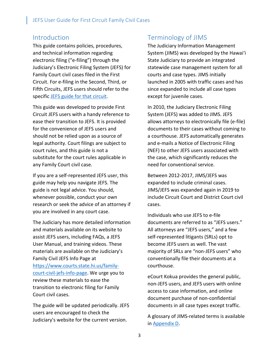#### <span id="page-3-0"></span>Introduction

This guide contains policies, procedures, and technical information regarding electronic filing ("e-filing") through the Judiciary's Electronic Filing System (JEFS) for Family Court civil cases filed in the First Circuit. For e-filing in the Second, Third, or Fifth Circuits, JEFS users should refer to the specific [JEFS guide for that circuit.](https://www.courts.state.hi.us/family-court-civil-jefs-info-page)

This guide was developed to provide First Circuit JEFS users with a handy reference to ease their transition to JEFS. It is provided for the convenience of JEFS users and should not be relied upon as a source of legal authority. Court filings are subject to court rules, and this guide is not a substitute for the court rules applicable in any Family Court civil case.

If you are a self-represented JEFS user, this guide may help you navigate JEFS. The guide is not legal advice. You should, whenever possible, conduct your own research or seek the advice of an attorney if you are involved in any court case.

The Judiciary has more detailed information and materials available on its website to assist JEFS users, including FAQs, a JEFS User Manual, and training videos. These materials are available on the Judiciary's Family Civil JEFS Info Page at [https://www.courts.state.hi.us/family](https://www.courts.state.hi.us/family-court-civil-jefs-info-page)[court-civil-jefs-info-page.](https://www.courts.state.hi.us/family-court-civil-jefs-info-page) We urge you to review these materials to ease the transition to electronic filing for Family Court civil cases.

The guide will be updated periodically. JEFS users are encouraged to check the Judiciary's website for the current version.

### <span id="page-3-1"></span>Terminology of JIMS

The Judiciary Information Management System (JIMS) was developed by the Hawaiʻi State Judiciary to provide an integrated statewide case management system for all courts and case types. JIMS initially launched in 2005 with traffic cases and has since expanded to include all case types except for juvenile cases.

In 2010, the Judiciary Electronic Filing System (JEFS) was added to JIMS. JEFS allows attorneys to electronically file (e-file) documents to their cases without coming to a courthouse. JEFS automatically generates and e-mails a Notice of Electronic Filing (NEF) to other JEFS users associated with the case, which significantly reduces the need for conventional service.

Between 2012-2017, JIMS/JEFS was expanded to include criminal cases. JIMS/JEFS was expanded again in 2019 to include Circuit Court and District Court civil cases.

Individuals who use JEFS to e-file documents are referred to as "JEFS users." All attorneys are "JEFS users," and a few self-represented litigants (SRLs) opt to become JEFS users as well. The vast majority of SRLs are "non-JEFS users" who conventionally file their documents at a courthouse.

eCourt Kokua provides the general public, non-JEFS users, and JEFS users with online access to case information, and online document purchase of non-confidential documents in all case types except traffic.

A glossary of JIMS-related terms is available in [Appendix D.](#page-50-0)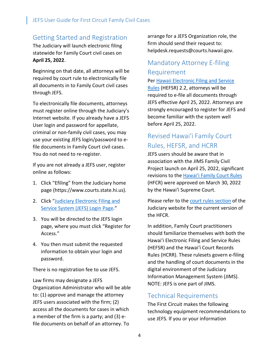### <span id="page-4-0"></span>Getting Started and Registration

The Judiciary will launch electronic filing statewide for Family Court civil cases on **April 25, 2022**.

Beginning on that date, all attorneys will be required by court rule to electronically file all documents in to Family Court civil cases through JEFS.

To electronically file documents, attorneys must register online through the Judiciary's Internet website. If you already have a JEFS User login and password for appellate, criminal or non-family civil cases, you may use your existing JEFS login/password to efile documents in Family Court civil cases. You do not need to re-register.

If you are not already a JEFS user, register online as follows:

- 1. Click "Efiling" from the Judiciary home page (https://www.courts.state.hi.us).
- 2. Click ["Judiciary Electronic Filing and](https://www.courts.state.hi.us/legal_references/efiling)  [Service System \(JEFS\) Login Page.](https://www.courts.state.hi.us/legal_references/efiling)"
- 3. You will be directed to the JEFS login page, where you must click "Register for Access."
- 4. You then must submit the requested information to obtain your login and password.

There is no registration fee to use JEFS.

Law firms may designate a JEFS Organization Administrator who will be able to: (1) approve and manage the attorney JEFS users associated with the firm; (2) access all the documents for cases in which a member of the firm is a party; and (3) efile documents on behalf of an attorney. To

arrange for a JEFS Organization role, the firm should send their request to: helpdesk.requests@courts.hawaii.gov.

### <span id="page-4-1"></span>Mandatory Attorney E-filing Requirement

Per [Hawaii Electronic Filing and Service](https://www.courts.state.hi.us/legal_references/rules/rulesofcourt)  [Rules](https://www.courts.state.hi.us/legal_references/rules/rulesofcourt) (HEFSR) 2.2, attorneys will be required to e-file all documents through JEFS effective April 25, 2022. Attorneys are strongly encouraged to register for JEFS and become familiar with the system well before April 25, 2022.

### <span id="page-4-2"></span>Revised Hawai'i Family Court Rules, HEFSR, and HCRR

JEFS users should be aware that in association with the JIMS Family Civil Project launch on April 25, 2022, significant revisions to the [Hawai'i Family Court Rules](https://www.courts.state.hi.us/wp-content/uploads/2022/03/2022_hfcram_ada.pdf) (HFCR) were approved on March 30, 2022 by the Hawai'i Supreme Court.

Please refer to the [court rules section](https://www.courts.state.hi.us/legal_references/rules/rulesOfCourt) of the Judiciary website for the current version of the HFCR.

In addition, Family Court practitioners should familiarize themselves with both the Hawai'i Electronic Filing and Service Rules (HEFSR) and the Hawai'i Court Records Rules (HCRR). These rulesets govern e-filing and the handling of court documents in the digital environment of the Judiciary Information Management System (JIMS). NOTE: JEFS is one part of JIMS.

### <span id="page-4-3"></span>Technical Requirements

The First Circuit makes the following technology equipment recommendations to use JEFS. If you or your information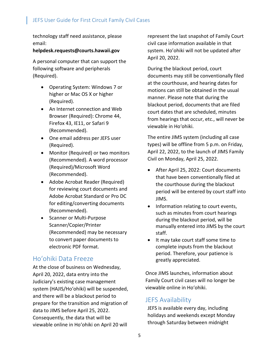technology staff need assistance, please email:

#### **helpdesk.requests@courts.hawaii.gov**

A personal computer that can support the following software and peripherals (Required).

- Operating System: Windows 7 or higher or Mac OS X or higher (Required).
- An Internet connection and Web Browser (Required): Chrome 44, Firefox 43, IE11, or Safari 9 (Recommended).
- One email address per JEFS user (Required).
- Monitor (Required) or two monitors (Recommended). A word processor (Required)/Microsoft Word (Recommended).
- Adobe Acrobat Reader (Required) for reviewing court documents and Adobe Acrobat Standard or Pro DC for editing/converting documents (Recommended).
- Scanner or Multi-Purpose Scanner/Copier/Printer (Recommended) may be necessary to convert paper documents to electronic PDF format.

### <span id="page-5-0"></span>Ho'ohiki Data Freeze

At the close of business on Wednesday, April 20, 2022, data entry into the Judiciary's existing case management system (HAJIS/Ho'ohiki) will be suspended, and there will be a blackout period to prepare for the transition and migration of data to JIMS before April 25, 2022. Consequently, the data that will be viewable online in Hoʻohiki on April 20 will

represent the last snapshot of Family Court civil case information available in that system. Ho'ohiki will not be updated after April 20, 2022.

During the blackout period, court documents may still be conventionally filed at the courthouse, and hearing dates for motions can still be obtained in the usual manner. Please note that during the blackout period, documents that are filed court dates that are scheduled, minutes from hearings that occur, etc., will never be viewable in Hoʻohiki.

The entire JIMS system (including all case types) will be offline from 5 p.m. on Friday, April 22, 2022, to the launch of JIMS Family Civil on Monday, April 25, 2022.

- After April 25, 2022: Court documents that have been conventionally filed at the courthouse during the blackout period will be entered by court staff into JIMS.
- Information relating to court events, such as minutes from court hearings during the blackout period, will be manually entered into JIMS by the court staff.
- It may take court staff some time to complete inputs from the blackout period. Therefore, your patience is greatly appreciated.

Once JIMS launches, information about Family Court civil cases will no longer be viewable online in Hoʻohiki.

### <span id="page-5-1"></span>JEFS Availability

JEFS is available every day, including holidays and weekends except Monday through Saturday between midnight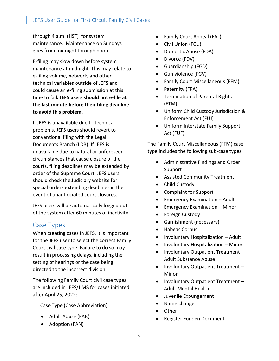through 4 a.m. (HST) for system maintenance. Maintenance on Sundays goes from midnight through noon.

E-filing may slow down before system maintenance at midnight. This may relate to e-filing volume, network, and other technical variables outside of JEFS and could cause an e-filing submission at this time to fail**. JEFS users should not e-file at the last minute before their filing deadline to avoid this problem.**

If JEFS is unavailable due to technical problems, JEFS users should revert to conventional filing with the Legal Documents Branch (LDB). If JEFS is unavailable due to natural or unforeseen circumstances that cause closure of the courts, filing deadlines may be extended by order of the Supreme Court. JEFS users should check the Judiciary website for special orders extending deadlines in the event of unanticipated court closures.

JEFS users will be automatically logged out of the system after 60 minutes of inactivity.

### <span id="page-6-0"></span>Case Types

When creating cases in JEFS, it is important for the JEFS user to select the correct Family Court civil case type. Failure to do so may result in processing delays, including the setting of hearings or the case being directed to the incorrect division.

The following Family Court civil case types are included in JEFS/JIMS for cases initiated after April 25, 2022:

Case Type (Case Abbreviation)

- Adult Abuse (FAB)
- Adoption (FAN)
- Family Court Appeal (FAL)
- Civil Union (FCU)
- Domestic Abuse (FDA)
- Divorce (FDV)
- Guardianship (FGD)
- Gun violence (FGV)
- Family Court Miscellaneous (FFM)
- Paternity (FPA)
- Termination of Parental Rights (FTM)
- Uniform Child Custody Jurisdiction & Enforcement Act (FUJ)
- Uniform Interstate Family Support Act (FUF)

The Family Court Miscellaneous (FFM) case type includes the following sub-case types:

- Administrative Findings and Order Support
- Assisted Community Treatment
- Child Custody
- Complaint for Support
- Emergency Examination Adult
- Emergency Examination Minor
- Foreign Custody
- Garnishment (necessary)
- Habeas Corpus
- Involuntary Hospitalization Adult
- Involuntary Hospitalization Minor
- Involuntary Outpatient Treatment Adult Substance Abuse
- Involuntary Outpatient Treatment Minor
- Involuntary Outpatient Treatment Adult Mental Health
- Juvenile Expungement
- Name change
- Other
- Register Foreign Document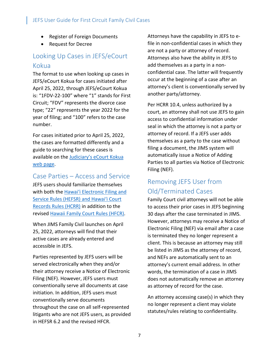- Register of Foreign Documents
- Request for Decree

# <span id="page-7-0"></span>Looking Up Cases in JEFS/eCourt Kokua

The format to use when looking up cases in JEFS/eCourt Kokua for cases initiated after April 25, 2022, through JEFS/eCourt Kokua is: "1FDV-22-100" where "1" stands for First Circuit; "FDV" represents the divorce case type; "22" represents the year 2022 for the year of filing; and "100" refers to the case number.

For cases initiated prior to April 25, 2022, the cases are formatted differently and a guide to searching for these cases is available on the [Judiciary's eCourt Kokua](https://www.courts.state.hi.us/legal_references/records/jims_system_availability)  [web page.](https://www.courts.state.hi.us/legal_references/records/jims_system_availability)

### <span id="page-7-1"></span>Case Parties – Access and Service

JEFS users should familiarize themselves with both the [Hawai'i Electronic Filing and](https://www.courts.state.hi.us/legal_references/rules/rulesOfCourt)  Service Rules [\(HEFSR\) and Hawai'i Court](https://www.courts.state.hi.us/legal_references/rules/rulesOfCourt)  [Records Rules](https://www.courts.state.hi.us/legal_references/rules/rulesOfCourt) (HCRR) in addition to the revised [Hawaii Family Court Rules](https://www.courts.state.hi.us/wp-content/uploads/2022/03/2022_hfcram_ada.pdf) (HFCR).

When JIMS Family Civil launches on April 25, 2022, attorneys will find that their active cases are already entered and accessible in JEFS.

Parties represented by JEFS users will be served electronically when they and/or their attorney receive a Notice of Electronic Filing (NEF). However, JEFS users must conventionally serve all documents at case initiation. In addition, JEFS users must conventionally serve documents throughout the case on all self-represented litigants who are not JEFS users, as provided in HEFSR 6.2 and the revised HFCR.

Attorneys have the capability in JEFS to efile in non-confidential cases in which they are not a party or attorney of record. Attorneys also have the ability in JEFS to add themselves as a party in a nonconfidential case. The latter will frequently occur at the beginning of a case after an attorney's client is conventionally served by another party/attorney.

Per HCRR 10.4, unless authorized by a court, an attorney shall not use JEFS to gain access to confidential information under seal in which the attorney is not a party or attorney of record. If a JEFS user adds themselves as a party to the case without filing a document, the JIMS system will automatically issue a Notice of Adding Parties to all parties via Notice of Electronic Filing (NEF).

### <span id="page-7-2"></span>Removing JEFS User from Old/Terminated Cases

Family Court civil attorneys will not be able to access their prior cases in JEFS beginning 30 days after the case terminated in JIMS. However, attorneys may receive a Notice of Electronic Filing (NEF) via email after a case is terminated they no longer represent a client. This is because an attorney may still be listed in JIMS as the attorney of record, and NEFs are automatically sent to an attorney's current email address. In other words, the termination of a case in JIMS does not automatically remove an attorney as attorney of record for the case.

An attorney accessing case(s) in which they no longer represent a client may violate statutes/rules relating to confidentiality.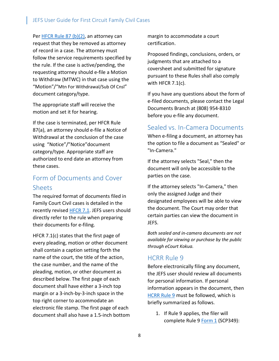Per HFCR [Rule 87 \(b\)\(2\),](https://www.courts.state.hi.us/wp-content/uploads/2022/03/2022_hfcram_ada.pdf) an attorney can request that they be removed as attorney of record in a case. The attorney must follow the service requirements specified by the rule. If the case is active/pending, the requesting attorney should e-file a Motion to Withdraw (MTWC) in that case using the "Motion"/"Mtn For Withdrawal/Sub Of Cnsl" document category/type.

The appropriate staff will receive the motion and set it for hearing.

If the case is terminated, per HFCR Rule 87(a), an attorney should e-file a Notice of Withdrawal at the conclusion of the case using "Notice"/"Notice"document category/type. Appropriate staff are authorized to end date an attorney from these cases.

# <span id="page-8-0"></span>Form of Documents and Cover Sheets

The required format of documents filed in Family Court Civil cases is detailed in the recently revised [HFCR](https://www.courts.state.hi.us/wp-content/uploads/2022/03/2022_hfcram_ada.pdf) 7.1. JEFS users should directly refer to the rule when preparing their documents for e-filing.

HFCR 7.1(c) states that the first page of every pleading, motion or other document shall contain a caption setting forth the name of the court, the title of the action, the case number, and the name of the pleading, motion, or other document as described below. The first page of each document shall have either a 3-inch top margin or a 3-inch-by-3-inch space in the top right corner to accommodate an electronic file stamp. The first page of each document shall also have a 1.5-inch bottom margin to accommodate a court certification.

Proposed findings, conclusions, orders, or judgments that are attached to a coversheet and submitted for signature pursuant to these Rules shall also comply with HFCR 7.1(c).

If you have any questions about the form of e-filed documents, please contact the Legal Documents Branch at (808) 954-8310 before you e-file any document.

### <span id="page-8-1"></span>Sealed vs. In-Camera Documents

When e-filing a document, an attorney has the option to file a document as "Sealed" or "In-Camera."

If the attorney selects "Seal," then the document will only be accessible to the parties on the case.

If the attorney selects "In-Camera," then only the assigned Judge and their designated employees will be able to view the document. The Court may order that certain parties can view the document in JEFS.

*Both sealed and in-camera documents are not available for viewing or purchase by the public through eCourt Kokua.*

### <span id="page-8-2"></span>HCRR Rule 9

Before electronically filing any document, the JEFS user should review all documents for personal information. If personal information appears in the document, then [HCRR Rule 9](https://www.courts.state.hi.us/docs/court_rules/rules/hcrr.htm#Rule%209) must be followed, which is briefly summarized as follows.

1. If Rule 9 applies, the filer will complete Rule 9 [Form 1](https://www.courts.state.hi.us/docs/court_rules/rules/hcrr.htm#HCRR%20Form%201) (SCP349):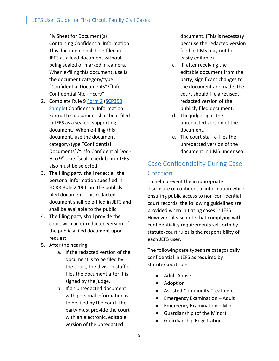Fly Sheet for Document(s) Containing Confidential Information. This document shall be e-filed in JEFS as a lead document without being sealed or marked in-camera. When e-filing this document, use is the document category/type "Confidential Documents"/"Info Confidential Ntc - Hccr9".

- 2. Complete Rule 9 [Form 2](https://www.courts.state.hi.us/docs/court_rules/rules/hcrr.htm#HCRR%20Form%202) [\(SCP350](https://www.courts.state.hi.us/docs/court_rules/rules/hcrr.htm#HCRR%20Form%202%20SAMPLE)  [Sample\)](https://www.courts.state.hi.us/docs/court_rules/rules/hcrr.htm#HCRR%20Form%202%20SAMPLE) Confidential Information Form. This document shall be e-filed in JEFS as a sealed, supporting document. When e-filing this document, use the document category/type "Confidential Documents"/"Info Confidential Doc - Hccr9". The "seal" check box in JEFS also must be selected.
- 3. The filing party shall redact all the personal information specified in HCRR Rule 2.19 from the publicly filed document. This redacted document shall be e-filed in JEFS and shall be available to the public.
- 4. The filing party shall provide the court with an unredacted version of the publicly filed document upon request.
- 5. After the hearing:
	- a. If the redacted version of the document is to be filed by the court, the division staff efiles the document after it is signed by the judge.
	- b. If an unredacted document with personal information is to be filed by the court, the party must provide the court with an electronic, editable version of the unredacted

document. (This is necessary because the redacted version filed in JIMS may not be easily editable).

- c. If, after receiving the editable document from the party, significant changes to the document are made, the court should file a revised, redacted version of the publicly filed document.
- d. The judge signs the unredacted version of the document.
- e. The court staff e-files the unredacted version of the document in JIMS under seal.

# <span id="page-9-0"></span>Case Confidentiality During Case Creation

To help prevent the inappropriate disclosure of confidential information while ensuring public access to non-confidential court records, the following guidelines are provided when initiating cases in JEFS. However, please note that complying with confidentiality requirements set forth by statute/court rules is the responsibility of each JEFS user.

The following case types are categorically confidential in JEFS as required by statute/court rule:

- Adult Abuse
- Adoption
- Assisted Community Treatment
- Emergency Examination Adult
- Emergency Examination Minor
- Guardianship (of the Minor)
- Guardianship Registration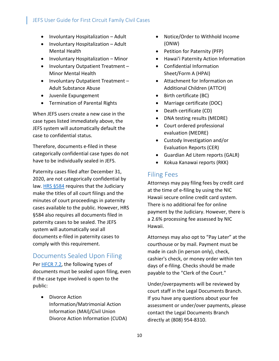- Involuntary Hospitalization Adult
- Involuntary Hospitalization Adult Mental Health
- Involuntary Hospitalization Minor
- Involuntary Outpatient Treatment Minor Mental Health
- Involuntary Outpatient Treatment Adult Substance Abuse
- Juvenile Expungement
- Termination of Parental Rights

When JEFS users create a new case in the case types listed immediately above, the JEFS system will automatically default the case to confidential status.

Therefore, documents e-filed in these categorically confidential case types do not have to be individually sealed in JEFS.

Paternity cases filed after December 31, 2020, are not categorically confidential by law. [HRS §584](https://www.capitol.hawaii.gov/hrscurrent/Vol12_Ch0501-0588/HRS0584/HRS_0584-.htm) requires that the Judiciary make the titles of all court filings and the minutes of court proceedings in paternity cases available to the public. However, HRS §584 also requires all documents filed in paternity cases to be sealed. The JEFS system will automatically seal all documents e-filed in paternity cases to comply with this requirement.

### <span id="page-10-0"></span>Documents Sealed Upon Filing

Per [HFCR 7.2,](https://www.courts.state.hi.us/legal_references/rules/rulesofcourt) the following types of documents must be sealed upon filing, even if the case type involved is open to the public:

• Divorce Action Information/Matrimonial Action Information (MAI)/Civil Union Divorce Action Information (CUDA)

- Notice/Order to Withhold Income (ONW)
- Petition for Paternity (PFP)
- Hawai'i Paternity Action Information
- Confidential Information Sheet/Form A (HPAI)
- Attachment for Information on Additional Children (ATTCH)
- Birth certificate (BC)
- Marriage certificate (DOC)
- Death certificate (CD)
- DNA testing results (MEDRE)
- Court ordered professional evaluation (MEDRE)
- Custody Investigation and/or Evaluation Reports (CER)
- Guardian Ad Litem reports (GALR)
- Kokua Kanawai reports (RKK)

### <span id="page-10-1"></span>Filing Fees

Attorneys may pay filing fees by credit card at the time of e-filing by using the NIC Hawaii secure online credit card system. There is no additional fee for online payment by the Judiciary. However, there is a 2.6% processing fee assessed by NIC Hawaii.

Attorneys may also opt to "Pay Later" at the courthouse or by mail. Payment must be made in cash (in person only), check, cashier's check, or money order within ten days of e-filing. Checks should be made payable to the "Clerk of the Court."

Under/overpayments will be reviewed by court staff in the Legal Documents Branch. If you have any questions about your fee assessment or under/over payments, please contact the Legal Documents Branch directly at (808) 954-8310.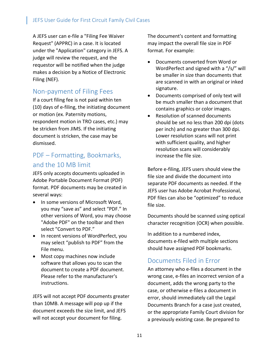A JEFS user can e-file a "Filing Fee Waiver Request" (APPRC) in a case. It is located under the "Application" category in JEFS. A judge will review the request, and the requestor will be notified when the judge makes a decision by a Notice of Electronic Filing (NEF).

### <span id="page-11-0"></span>Non-payment of Filing Fees

If a court filing fee is not paid within ten (10) days of e-filing, the initiating document or motion (ex. Paternity motions, respondent motion in TRO cases, etc.) may be stricken from JIMS. If the initiating document is stricken, the case may be dismissed.

### <span id="page-11-1"></span>PDF – Formatting, Bookmarks, and the 10 MB limit

JEFS only accepts documents uploaded in Adobe Portable Document Format (PDF) format. PDF documents may be created in several ways:

- In some versions of Microsoft Word, you may "save as" and select "PDF." In other versions of Word, you may choose "Adobe PDF" on the toolbar and then select "Convert to PDF."
- In recent versions of WordPerfect, you may select "publish to PDF" from the File menu.
- Most copy machines now include software that allows you to scan the document to create a PDF document. Please refer to the manufacturer's instructions.

JEFS will not accept PDF documents greater than 10MB. A message will pop up if the document exceeds the size limit, and JEFS will not accept your document for filing.

The document's content and formatting may impact the overall file size in PDF format. For example:

- Documents converted from Word or WordPerfect and signed with a "/s/" will be smaller in size than documents that are scanned in with an original or inked signature.
- Documents comprised of only text will be much smaller than a document that contains graphics or color images.
- Resolution of scanned documents should be set no less than 200 dpi (dots per inch) and no greater than 300 dpi. Lower resolution scans will not print with sufficient quality, and higher resolution scans will considerably increase the file size.

Before e-filing, JEFS users should view the file size and divide the document into separate PDF documents as needed. If the JEFS user has Adobe Acrobat Professional, PDF files can also be "optimized" to reduce file size.

Documents should be scanned using optical character recognition (OCR) when possible.

In addition to a numbered index, documents e-filed with multiple sections should have assigned PDF bookmarks.

### <span id="page-11-2"></span>Documents Filed in Error

An attorney who e-files a document in the wrong case, e-files an incorrect version of a document, adds the wrong party to the case, or otherwise e-files a document in error, should immediately call the Legal Documents Branch for a case just created, or the appropriate Family Court division for a previously existing case. Be prepared to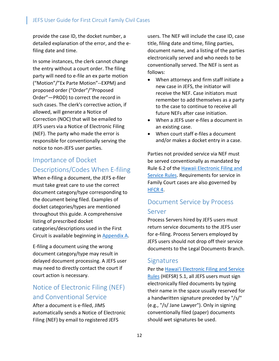provide the case ID, the docket number, a detailed explanation of the error, and the efiling date and time.

In some instances, the clerk cannot change the entry without a court order. The filing party will need to e-file an ex parte motion ("Motion"/"Ex Parte Motion"--EXPM) and proposed order ("Order"/"Proposed Order"—PROD) to correct the record in such cases. The clerk's corrective action, if allowed, will generate a Notice of Correction (NOC) that will be emailed to JEFS users via a Notice of Electronic Filing (NEF). The party who made the error is responsible for conventionally serving the notice to non-JEFS user parties.

# <span id="page-12-0"></span>Importance of Docket Descriptions/Codes When E-filing

When e-filing a document, the JEFS e-filer must take great care to use the correct document category/type corresponding to the document being filed. Examples of docket categories/types are mentioned throughout this guide. A comprehensive listing of prescribed docket categories/descriptions used in the First Circuit is available beginning in [Appendix A.](#page-23-0)

E-filing a document using the wrong document category/type may result in delayed document processing. A JEFS user may need to directly contact the court if court action is necessary.

# <span id="page-12-1"></span>Notice of Electronic Filing (NEF) and Conventional Service

After a document is e-filed, JIMS automatically sends a Notice of Electronic Filing (NEF) by email to registered JEFS

users. The NEF will include the case ID, case title, filing date and time, filing parties, document name, and a listing of the parties electronically served and who needs to be conventionally served. The NEF is sent as follows:

- When attorneys and firm staff initiate a new case in JEFS, the initiator will receive the NEF. Case initiators must remember to add themselves as a party to the case to continue to receive all future NEFs after case initiation.
- When a JEFS user e-files a document in an existing case.
- When court staff e-files a document and/or makes a docket entry in a case.

Parties not provided service via NEF must be served conventionally as mandated by Rule 6.2 of the [Hawaii Electronic Filing and](https://www.courts.state.hi.us/legal_references/rules/rulesofcourt)  [Service Rules.](https://www.courts.state.hi.us/legal_references/rules/rulesofcourt) Requirements for service in Family Court cases are also governed by [HFCR 4.](https://www.courts.state.hi.us/wp-content/uploads/2022/03/2022_hfcram_ada.pdf)

# <span id="page-12-2"></span>Document Service by Process Server

Process Servers hired by JEFS users must return service documents to the JEFS user for e-filing. Process Servers employed by JEFS users should not drop off their service documents to the Legal Documents Branch.

### <span id="page-12-3"></span>**Signatures**

Per the [Hawai'i Electronic Filing and Service](https://www.courts.state.hi.us/legal_references/rules/rulesofcourt)  [Rules](https://www.courts.state.hi.us/legal_references/rules/rulesofcourt) (HEFSR) 5.1, all JEFS users must sign electronically filed documents by typing their name in the space usually reserved for a handwritten signature preceded by "/s/" (e.g., "/s/ Jane Lawyer"). Only in signing conventionally filed (paper) documents should wet signatures be used.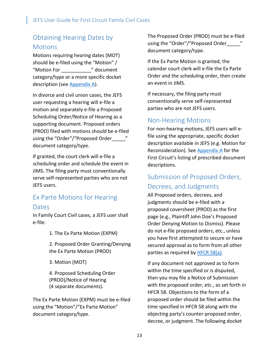# <span id="page-13-0"></span>Obtaining Hearing Dates by **Motions**

Motions requiring hearing dates (MOT) should be e-filed using the "Motion" / "Motion For \_\_\_\_\_\_\_\_\_\_\_" document category/type or a more specific docket description (see [Appendix A\)](#page-23-0).

In divorce and civil union cases, the JEFS user requesting a hearing will e-file a motion and separately e-file a Proposed Scheduling Order/Notice of Hearing as a supporting document. Proposed orders (PROD) filed with motions should be e-filed using the "Order"/"Proposed Order\_\_\_\_\_\_" document category/type.

If granted, the court clerk will e-file a scheduling order and schedule the event in JIMS. The filing party must conventionally serve self-represented parties who are not JEFS users.

# <span id="page-13-1"></span>Ex Parte Motions for Hearing Dates

In Family Court Civil cases, a JEFS user shall e-file:

1. The Ex Parte Motion (EXPM)

2. Proposed Order Granting/Denying the Ex Parte Motion (PROD)

3. Motion (MOT)

4. Proposed Scheduling Order (PROD)/Notice of Hearing (4 separate documents).

The Ex Parte Motion (EXPM) must be e-filed using the "Motion"/"Ex Parte Motion" document category/type.

The Proposed Order (PROD) must be e-filed using the "Order"/"Proposed Order\_\_\_\_\_" document category/type.

If the Ex Parte Motion is granted, the calendar court clerk will e-file the Ex Parte Order and the scheduling order, then create an event in JIMS.

If necessary, the filing party must conventionally serve self-represented parties who are not JEFS users.

### <span id="page-13-2"></span>Non-Hearing Motions

For non-hearing motions, JEFS users will efile using the appropriate, specific docket description available in JEFS (e.g. Motion for Reconsideration). See [Appendix A](#page-23-0) for the First Circuit's listing of prescribed document descriptions.

### <span id="page-13-3"></span>Submission of Proposed Orders, Decrees, and Judgments

All Proposed orders, decrees, and judgments should be e-filed with a proposed coversheet (PROD) as the first page (e.g., Plaintiff John Doe's Proposed Order Denying Motion to Dismiss). Please do not e-file proposed orders, etc., unless you have first attempted to secure or have secured approval as to form from all other parties as required b[y HFCR 58\(a\).](https://www.courts.state.hi.us/wp-content/uploads/2022/03/2022_hfcram_ada.pdf)

If any document not approved as to form within the time specified or is disputed, then you may file a Notice of Submission with the proposed order, etc., as set forth in HFCR 58. Objections to the form of a proposed order should be filed within the time specified in HFCR 58 along with the objecting party's counter-proposed order, decree, or judgment. The following docket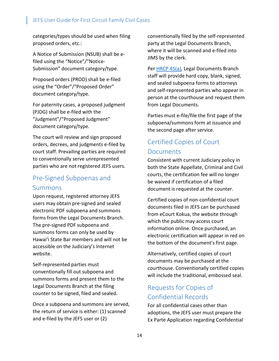categories/types should be used when filing proposed orders, etc.:

A Notice of Submission (NSUB) shall be efiled using the "Notice"/"Notice-Submission" document category/type.

Proposed orders (PROD) shall be e-filed using the "Order"/"Proposed Order" document category/type.

For paternity cases, a proposed judgment (PJDG) shall be e-filed with the "Judgment"/"Proposed Judgment" document category/type.

The court will review and sign proposed orders, decrees, and judgments e-filed by court staff. Prevailing parties are required to conventionally serve unrepresented parties who are not registered JEFS users.

### <span id="page-14-0"></span>Pre-Signed Subpoenas and Summons

Upon request, registered attorney JEFS users may obtain pre-signed and sealed electronic PDF subpoena and summons forms from the Legal Documents Branch. The pre-signed PDF subpoena and summons forms can only be used by Hawai'i State Bar members and will not be accessible on the Judiciary's Internet website.

Self-represented parties must conventionally fill out subpoena and summons forms and present them to the Legal Documents Branch at the filing counter to be signed, filed and sealed.

Once a subpoena and summons are served, the return of service is either: (1) scanned and e-filed by the JEFS user or (2)

conventionally filed by the self-represented party at the Legal Documents Branch, where it will be scanned and e-filed into JIMS by the clerk.

Per [HRCP 45\(a\),](https://www.courts.state.hi.us/legal_references/rules/rulesofcourt) Legal Documents Branch staff will provide hard copy, blank, signed, and sealed subpoena forms to attorneys and self-represented parties who appear in person at the courthouse and request them from Legal Documents.

Parties must e-file/file the first page of the subpoena/summons form at issuance and the second page after service.

# <span id="page-14-1"></span>Certified Copies of Court Documents

Consistent with current Judiciary policy in both the State Appellate, Criminal and Civil courts, the certification fee will no longer be waived if certification of a filed document is requested at the counter.

Certified copies of non-confidential court documents filed in JEFS can be purchased from eCourt Kokua, the website through which the public may access court information online. Once purchased, an electronic certification will appear in red on the bottom of the document's first page.

Alternatively, certified copies of court documents may be purchased at the courthouse. Conventionally certified copies will include the traditional, embossed seal.

### <span id="page-14-2"></span>Requests for Copies of Confidential Records

For all confidential cases other than adoptions, the JEFS user must prepare the Ex Parte Application regarding Confidential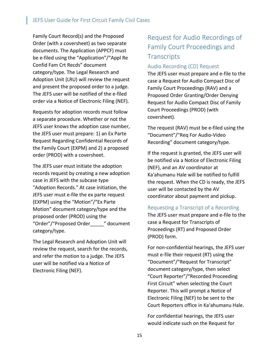Family Court Record(s) and the Proposed Order (with a coversheet) as two separate documents. The Application (APPCF) must be e-filed using the "Application"/"Appl Re Confid Fam Crt Recds" document category/type. The Legal Research and Adoption Unit (LRU) will review the request and present the proposed order to a judge. The JEFS user will be notified of the e-filed order via a Notice of Electronic Filing (NEF).

Requests for adoption records must follow a separate procedure. Whether or not the JEFS user knows the adoption case number, the JEFS user must prepare: 1) an Ex Parte Request Regarding Confidential Records of the Family Court (EXPM) and 2) a proposed order (PROD) with a coversheet.

The JEFS user must initiate the adoption records request by creating a new adoption case in JEFS with the subcase type "Adoption Records." At case initiation, the JEFS user must e-file the ex parte request (EXPM) using the "Motion"/"Ex Parte Motion" document category/type and the proposed order (PROD) using the "Order"/"Proposed Order\_\_\_\_\_" document category/type.

The Legal Research and Adoption Unit will review the request, search for the records, and refer the motion to a judge. The JEFS user will be notified via a Notice of Electronic Filing (NEF).

# <span id="page-15-0"></span>Request for Audio Recordings of Family Court Proceedings and **Transcripts**

#### <span id="page-15-1"></span>Audio Recording (CD) Request

The JEFS user must prepare and e-file to the case a Request for Audio Compact Disc of Family Court Proceedings (RAV) and a Proposed Order Granting/Order Denying Request for Audio Compact Disc of Family Court Proceedings (PROD) (with coversheet).

The request (RAV) must be e-filed using the "Document"/"Req For Audio-Video Recording" document category/type.

If the request is granted, the JEFS user will be notified via a Notice of Electronic Filing (NEF), and an AV coordinator at Ka'ahumanu Hale will be notified to fulfill the request. When the CD is ready, the JEFS user will be contacted by the AV coordinator about payment and pickup.

#### <span id="page-15-2"></span>Requesting a Transcript of a Recording

The JEFS user must prepare and e-file to the case a Request for Transcripts of Proceedings (RT) and Proposed Order (PROD) form.

For non-confidential hearings, the JEFS user must e-file their request (RT) using the "Document"/"Request for Transcript" document category/type, then select "Court Reporter"/"Recorded Proceeding First Circuit" when selecting the Court Reporter. This will prompt a Notice of Electronic Filing (NEF) to be sent to the Court Reporters office in Ka'ahumanu Hale.

For confidential hearings, the JEFS user would indicate such on the Request for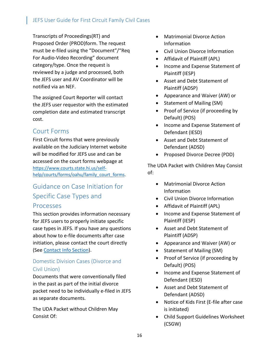Transcripts of Proceedings(RT) and Proposed Order (PROD)form. The request must be e-filed using the "Document"/"Req For Audio-Video Recording" document category/type. Once the request is reviewed by a judge and processed, both the JEFS user and AV Coordinator will be notified via an NEF.

The assigned Court Reporter will contact the JEFS user requestor with the estimated completion date and estimated transcript cost.

### <span id="page-16-0"></span>Court Forms

First Circuit forms that were previously available on the Judiciary Internet website will be modified for JEFS use and can be accessed on the court forms webpage at [https://www.courts.state.hi.us/self](https://www.courts.state.hi.us/self-help/courts/forms/oahu/family_court_forms)[help/courts/forms/oahu/family\\_court\\_forms.](https://www.courts.state.hi.us/self-help/courts/forms/oahu/family_court_forms)

# <span id="page-16-1"></span>Guidance on Case Initiation for Specific Case Types and

#### Processes

This section provides information necessary for JEFS users to properly initiate specific case types in JEFS. If you have any questions about how to e-file documents after case initiation, please contact the court directly (See [Contact Info](#page-22-2) Section).

#### <span id="page-16-2"></span>Domestic Division Cases (Divorce and Civil Union)

Documents that were conventionally filed in the past as part of the initial divorce packet need to be individually e-filed in JEFS as separate documents.

The UDA Packet without Children May Consist Of:

- Matrimonial Divorce Action Information
- Civil Union Divorce Information
- Affidavit of Plaintiff (APL)
- Income and Expense Statement of Plaintiff (IESP)
- Asset and Debt Statement of Plaintiff (ADSP)
- Appearance and Waiver (AW) or
- Statement of Mailing (SM)
- Proof of Service (if proceeding by Default) (POS)
- Income and Expense Statement of Defendant (IESD)
- Asset and Debt Statement of Defendant (ADSD)
- Proposed Divorce Decree (PDD)

The UDA Packet with Children May Consist of:

- Matrimonial Divorce Action Information
- Civil Union Divorce Information
- Affidavit of Plaintiff (APL)
- Income and Expense Statement of Plaintiff (IESP)
- Asset and Debt Statement of Plaintiff (ADSP)
- Appearance and Waiver (AW) or
- Statement of Mailing (SM)
- Proof of Service (if proceeding by Default) (POS)
- Income and Expense Statement of Defendant (IESD)
- Asset and Debt Statement of Defendant (ADSD)
- Notice of Kids First (E-file after case is initiated)
- Child Support Guidelines Worksheet (CSGW)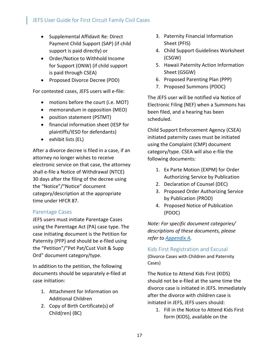- Supplemental Affidavit Re: Direct Payment Child Support (SAP) (if child support is paid directly) or
- Order/Notice to Withhold Income for Support (ONW) (if child support is paid through CSEA)
- Proposed Divorce Decree (PDD)

For contested cases, JEFS users will e-file:

- motions before the court (i.e. MOT)
- memorandum in opposition (MEO)
- position statement (PSTMT)
- financial information sheet (IESP for plaintiffs/IESD for defendants)
- exhibit lists (EL)

After a divorce decree is filed in a case, if an attorney no longer wishes to receive electronic service on that case, the attorney shall e-file a Notice of Withdrawal (NTCE) 30 days after the filing of the decree using the "Notice"/"Notice" document category/description at the appropriate time under HFCR 87.

#### <span id="page-17-0"></span>Parentage Cases

JEFS users must initiate Parentage Cases using the Parentage Act (PA) case type. The case initiating document is the Petition for Paternity (PFP) and should be e-filed using the "Petition"/"Pet Pat/Cust Visit & Supp Ord" document category/type.

In addition to the petition, the following documents should be separately e-filed at case initiation:

- 1. Attachment for Information on Additional Children
- 2. Copy of Birth Certificate(s) of Child(ren) (BC)
- 3. Paternity Financial Information Sheet (PFIS)
- 4. Child Support Guidelines Worksheet (CSGW)
- 5. Hawaii Paternity Action Information Sheet (GSGW)
- 6. Proposed Parenting Plan (PPP)
- 7. Proposed Summons (PDOC)

The JEFS user will be notified via Notice of Electronic Filing (NEF) when a Summons has been filed, and a hearing has been scheduled.

Child Support Enforcement Agency (CSEA) initiated paternity cases must be initiated using the Complaint (CMP) document category/type. CSEA will also e-file the following documents:

- 1. Ex Parte Motion (EXPM) for Order Authorizing Service by Publication
- 2. Declaration of Counsel (DEC)
- 3. Proposed Order Authorizing Service by Publication (PROD)
- 4. Proposed Notice of Publication (PDOC)

*Note: For specific document categories/ descriptions of these documents, please refer to [Appendix A.](#page-23-0)* 

<span id="page-17-1"></span>Kids First Registration and Excusal

(Divorce Cases with Children and Paternity Cases)

The Notice to Attend Kids First (KIDS) should not be e-filed at the same time the divorce case is initiated in JEFS. Immediately after the divorce with children case is initiated in JEFS, JEFS users should:

1. Fill in the Notice to Attend Kids First form (KIDS), available on the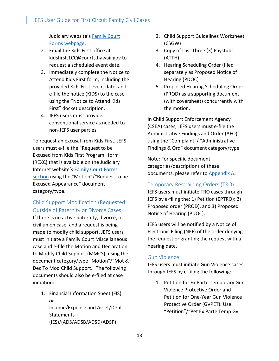Judiciary website's Family Court [Forms webpage.](https://www.courts.state.hi.us/self-help/courts/forms/oahu/family_court_forms)

- 2. Email the Kids First office at kidsfirst.1CC@courts.hawaii.gov to request a scheduled event date.
- 3. Immediately complete the Notice to Attend Kids First form, including the provided Kids First event date, and e-file the notice (KIDS) to the case using the "Notice to Attend Kids First" docket description.
- 4. JEFS users must provide conventional service as needed to non-JEFS user parties.

To request an excusal from Kids First, JEFS users must e-file the "Request to be Excused from Kids First Program" form (REXC) that is available on the Judiciary Internet website's [Family Court Forms](https://www.courts.state.hi.us/self-help/courts/forms/oahu/family_court_forms)  [section](https://www.courts.state.hi.us/self-help/courts/forms/oahu/family_court_forms) using the "Motion"/"Request to be Excused Appearance" document category/type.

### <span id="page-18-0"></span>Child Support Modification (Requested Outside of Paternity or Divorce Cases)

If there is no active paternity, divorce, or civil union case, and a request is being made to modify child support, JEFS users must initiate a Family Court Miscellaneous case and e-file the Motion and Declaration to Modify Child Support (MMCS), using the document category/type "Motion"/"Mot & Dec To Mod Child Support." The following documents should also be e-filed at case initiation:

1. Financial Information Sheet (FIS) *or* Income/Expense and Asset/Debt

**Statements** (IES)/(ADS/ADSB/ADSD/ADSP)

- 2. Child Support Guidelines Worksheet (CSGW)
- 3. Copy of Last Three (3) Paystubs (ATTH)
- 4. Hearing Scheduling Order (filed separately as Proposed Notice of Hearing (PDOC)
- 5. Proposed Hearing Scheduling Order (PROD) as a supporting document (with coversheet) concurrently with the motion.

In Child Support Enforcement Agency (CSEA) cases, JEFS users must e-file the Administrative Findings and Order (AFO) using the "Complaint"/ "Administrative Findings & Ord" document category/type

Note: For specific document categories/descriptions of these documents, please refer to [Appendix A.](#page-23-0)

#### <span id="page-18-1"></span>Temporary Restraining Orders (TRO)

JEFS users must initiate TRO cases through JEFS by e-filing the: 1) Petition (EPTRO); 2) Proposed order (PROD), and 3) Proposed Notice of Hearing (PDOC).

JEFS users will be notified by a Notice of Electronic Filing (NEF) of the order denying the request or granting the request with a hearing date.

#### <span id="page-18-2"></span>Gun Violence

JEFS users must initiate Gun Violence cases through JEFS by e-filing the following:

1. Petition for Ex Parte Temporary Gun Violence Protective Order and Petition for One-Year Gun Violence Protective Order (GVPET). Use "Petition"/"Pet Ex Parte Temp Gv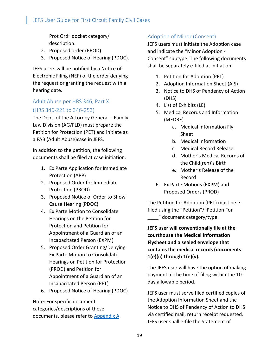Prot Ord" docket category/ description.

- 2. Proposed order (PROD)
- 3. Proposed Notice of Hearing (PDOC).

JEFS users will be notified by a Notice of Electronic Filing (NEF) of the order denying the request or granting the request with a hearing date.

### <span id="page-19-0"></span>Adult Abuse per HRS 346, Part X

#### (HRS 346-221 to 346-253)

The Dept. of the Attorney General – Family Law Division (AG/FLD) must prepare the Petition for Protection (PET) and initiate as a FAB (Adult Abuse)case in JEFS.

In addition to the petition, the following documents shall be filed at case initiation:

- 1. Ex Parte Application for Immediate Protection (APP)
- 2. Proposed Order for Immediate Protection (PROD)
- 3. Proposed Notice of Order to Show Cause Hearing (PDOC)
- 4. Ex Parte Motion to Consolidate Hearings on the Petition for Protection and Petition for Appointment of a Guardian of an Incapacitated Person (EXPM)
- 5. Proposed Order Granting/Denying Ex Parte Motion to Consolidate Hearings on Petition for Protection (PROD) and Petition for Appointment of a Guardian of an Incapacitated Person (PET)
- 6. Proposed Notice of Hearing (PDOC)

Note: For specific document categories/descriptions of these documents, please refer to [Appendix A.](#page-23-0)

#### <span id="page-19-1"></span>Adoption of Minor (Consent)

JEFS users must initiate the Adoption case and indicate the "Minor Adoption - Consent" subtype. The following documents shall be separately e-filed at initiation:

- 1. Petition for Adoption (PET)
- 2. Adoption Information Sheet (AIS)
- 3. Notice to DHS of Pendency of Action (DHS)
- 4. List of Exhibits (LE)
- 5. Medical Records and Information (MEDRE)
	- a. Medical Information Fly Sheet
	- b. Medical Information
	- c. Medical Record Release
	- d. Mother's Medical Records of the Child(ren)'s Birth
	- e. Mother's Release of the Record
- 6. Ex Parte Motions (EXPM) and Proposed Orders (PROD)

The Petition for Adoption (PET) must be efiled using the "Petition"/"Petition For \_\_\_\_" document category/type.

#### **JEFS user will conventionally file at the courthouse the Medical Information Flysheet and a sealed envelope that contains the medical records (documents 1(e)(ii) through 1(e)(v).**

The JEFS user will have the option of making payment at the time of filing within the 10 day allowable period.

JEFS user must serve filed certified copies of the Adoption Information Sheet and the Notice to DHS of Pendency of Action to DHS via certified mail, return receipt requested. JEFS user shall e-file the Statement of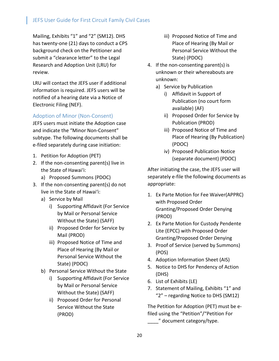Mailing, Exhibits "1" and "2" (SM12). DHS has twenty-one (21) days to conduct a CPS background check on the Petitioner and submit a "clearance letter" to the Legal Research and Adoption Unit (LRU) for review.

LRU will contact the JEFS user if additional information is required. JEFS users will be notified of a hearing date via a Notice of Electronic Filing (NEF).

#### <span id="page-20-0"></span>Adoption of Minor (Non-Consent)

JEFS users must initiate the Adoption case and indicate the "Minor Non-Consent" subtype. The following documents shall be e-filed separately during case initiation:

- 1. Petition for Adoption (PET)
- 2. If the non-consenting parent(s) live in the State of Hawai'i:
	- a) Proposed Summons (PDOC)
- 3. If the non-consenting parent(s) do not live in the State of Hawai'i:
	- a) Service by Mail
		- i) Supporting Affidavit (For Service by Mail or Personal Service Without the State) (SAFF)
		- ii) Proposed Order for Service by Mail (PROD)
		- iii) Proposed Notice of Time and Place of Hearing (By Mail or Personal Service Without the State) (PDOC)
	- b) Personal Service Without the State
		- i) Supporting Affidavit (For Service by Mail or Personal Service Without the State) (SAFF)
		- ii) Proposed Order for Personal Service Without the State (PROD)
- iii) Proposed Notice of Time and Place of Hearing (By Mail or Personal Service Without the State) (PDOC)
- 4. If the non-consenting parent(s) is unknown or their whereabouts are unknown:
	- a) Service by Publication
		- i) Affidavit in Support of Publication (no court form available) (AF)
		- ii) Proposed Order for Service by Publication (PROD)
		- iii) Proposed Notice of Time and Place of Hearing (By Publication) (PDOC)
		- iv) Proposed Publication Notice (separate document) (PDOC)

After initiating the case, the JEFS user will separately e-file the following documents as appropriate:

- 1. Ex Parte Motion for Fee Waiver(APPRC) with Proposed Order Granting/Proposed Order Denying (PROD)
- 2. Ex Parte Motion for Custody Pendente Lite (EPCC) with Proposed Order Granting/Proposed Order Denying
- 3. Proof of Service (served by Summons) (POS)
- 4. Adoption Information Sheet (AIS)
- 5. Notice to DHS for Pendency of Action (DHS)
- 6. List of Exhibits (LE)
- 7. Statement of Mailing, Exhibits "1" and "2" – regarding Notice to DHS (SM12)

The Petition for Adoption (PET) must be efiled using the "Petition"/"Petition For

\_\_\_\_" document category/type.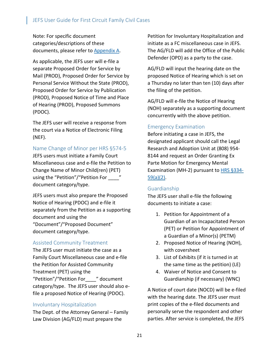Note: For specific document categories/descriptions of these documents, please refer to [Appendix A.](#page-23-0)

As applicable, the JEFS user will e-file a separate Proposed Order for Service by Mail (PROD), Proposed Order for Service by Personal Service Without the State (PROD), Proposed Order for Service by Publication (PROD), Proposed Notice of Time and Place of Hearing (PROD), Proposed Summons (PDOC).

The JEFS user will receive a response from the court via a Notice of Electronic Filing (NEF).

#### <span id="page-21-0"></span>Name Change of Minor per HRS §574-5

JEFS users must initiate a Family Court Miscellaneous case and e-file the Petition to Change Name of Minor Child(ren) (PET) using the "Petition"/"Petition For  $\blacksquare$ " document category/type.

JEFS users must also prepare the Proposed Notice of Hearing (PDOC) and e-file it separately from the Petition as a supporting document and using the "Document"/"Proposed Document" document category/type.

#### <span id="page-21-1"></span>Assisted Community Treatment

The JEFS user must initiate the case as a Family Court Miscellaneous case and e-file the Petition for Assisted Community Treatment (PET) using the "Petition"/"Petition For\_\_\_\_" document category/type. The JEFS user should also efile a proposed Notice of Hearing (PDOC).

#### <span id="page-21-2"></span>Involuntary Hospitalization

The Dept. of the Attorney General – Family Law Division (AG/FLD) must prepare the

Petition for Involuntary Hospitalization and initiate as a FC miscellaneous case in JEFS. The AG/FLD will add the Office of the Public Defender (OPD) as a party to the case.

AG/FLD will input the hearing date on the proposed Notice of Hearing which is set on a Thursday no later than ten (10) days after the filing of the petition.

AG/FLD will e-file the Notice of Hearing (NOH) separately as a supporting document concurrently with the above petition.

#### <span id="page-21-3"></span>Emergency Examination

Before initiating a case in JEFS, the designated applicant should call the Legal Research and Adoption Unit at (808) 954- 8144 and request an Order Granting Ex Parte Motion for Emergency Mental Examination (MH-2) pursuant to [HRS §334-](https://www.capitol.hawaii.gov/hrscurrent/Vol06_Ch0321-0344/HRS0334/HRS_0334-0059.htm) [59\(a\)\(2\).](https://www.capitol.hawaii.gov/hrscurrent/Vol06_Ch0321-0344/HRS0334/HRS_0334-0059.htm)

#### <span id="page-21-4"></span>Guardianship

The JEFS user shall e-file the following documents to initiate a case:

- 1. Petition for Appointment of a Guardian of an Incapacitated Person (PET) or Petition for Appointment of a Guardian of a Minor(s) (PETM)
- 2. Proposed Notice of Hearing (NOH), with coversheet
- 3. List of Exhibits (if it is turned in at the same time as the petition) (LE)
- 4. Waiver of Notice and Consent to Guardianship (if necessary) (WNC)

A Notice of court date (NOCD) will be e-filed with the hearing date. The JEFS user must print copies of the e-filed documents and personally serve the respondent and other parties. After service is completed, the JEFS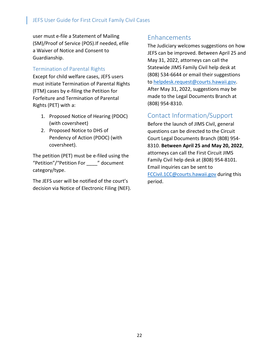user must e-file a Statement of Mailing (SM)/Proof of Service (POS).If needed, efile a Waiver of Notice and Consent to Guardianship.

#### <span id="page-22-0"></span>Termination of Parental Rights

Except for child welfare cases, JEFS users must initiate Termination of Parental Rights (FTM) cases by e-filing the Petition for Forfeiture and Termination of Parental Rights (PET) with a:

- 1. Proposed Notice of Hearing (PDOC) (with coversheet)
- 2. Proposed Notice to DHS of Pendency of Action (PDOC) (with coversheet).

The petition (PET) must be e-filed using the "Petition"/"Petition For \_\_\_\_" document category/type.

The JEFS user will be notified of the court's decision via Notice of Electronic Filing (NEF).

### <span id="page-22-1"></span>Enhancements

The Judiciary welcomes suggestions on how JEFS can be improved. Between April 25 and May 31, 2022, attorneys can call the Statewide JIMS Family Civil help desk at (808) 534-6644 or email their suggestions to [helpdesk.request@courts.hawaii.gov.](mailto:helpdesk.request@courts.hawaii.gov) After May 31, 2022, suggestions may be made to the Legal Documents Branch at (808) 954-8310.

### <span id="page-22-2"></span>Contact Information/Support

Before the launch of JIMS Civil, general questions can be directed to the Circuit Court Legal Documents Branch (808) 954- 8310. **Between April 25 and May 20, 2022**, attorneys can call the First Circuit JIMS Family Civil help desk at (808) 954-8101. Email inquiries can be sent to [FCCivil.1CC@courts.hawaii.gov](mailto:FCCivil.1CC@courts.hawaii.gov) during this period.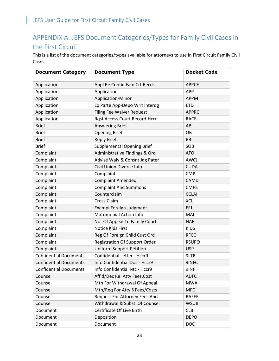# <span id="page-23-0"></span>APPENDIX A: JEFS Document Categories/Types for Family Civil Cases in the First Circuit

This is a list of the document categories/types available for attorneys to use in First Circuit Family Civil Cases:

| <b>Document Category</b>      | <b>Document Type</b>                 | <b>Docket Code</b> |
|-------------------------------|--------------------------------------|--------------------|
| Application                   | Appl Re Confid Fam Crt Recds         | <b>APPCF</b>       |
| Application                   | Application                          | <b>APP</b>         |
| Application                   | Application-Minor                    | <b>APPM</b>        |
| Application                   | Ex Parte App-Depo Writ Interog       | <b>ETD</b>         |
| Application                   | <b>Filing Fee Waiver Request</b>     | <b>APPRC</b>       |
| Application                   | <b>Rgst Access Court Record-Hccr</b> | <b>RACR</b>        |
| <b>Brief</b>                  | <b>Answering Brief</b>               | AB                 |
| <b>Brief</b>                  | <b>Opening Brief</b>                 | OB                 |
| <b>Brief</b>                  | <b>Reply Brief</b>                   | <b>RB</b>          |
| <b>Brief</b>                  | <b>Supplemental Opening Brief</b>    | SOB                |
| Complaint                     | Administrative Findings & Ord        | <b>AFO</b>         |
| Complaint                     | Advise Waiv & Consnt Jdg Pater       | <b>AWCJ</b>        |
| Complaint                     | Civil Union Divorce Info             | <b>CUDA</b>        |
| Complaint                     | Complaint                            | <b>CMP</b>         |
| Complaint                     | <b>Complaint Amended</b>             | <b>CAMD</b>        |
| Complaint                     | <b>Complaint And Summons</b>         | <b>CMPS</b>        |
| Complaint                     | Counterclaim                         | <b>CCLAI</b>       |
| Complaint                     | Cross Claim                          | <b>XCL</b>         |
| Complaint                     | <b>Exempl Foreign Judgment</b>       | EFJ                |
| Complaint                     | <b>Matrimonial Action Info</b>       | MAI                |
| Complaint                     | Not Of Appeal To Family Court        | <b>NAF</b>         |
| Complaint                     | <b>Notice Kids First</b>             | <b>KIDS</b>        |
| Complaint                     | Reg Of Foreign Child Cust Ord        | <b>RFCC</b>        |
| Complaint                     | <b>Registration Of Support Order</b> | <b>RSUPO</b>       |
| Complaint                     | <b>Uniform Support Petition</b>      | <b>USP</b>         |
| <b>Confidential Documents</b> | Confidential Letter - Hccr9          | 9LTR               |
| <b>Confidential Documents</b> | Info Confidential Doc - Hccr9        | 9INFC              |
| <b>Confidential Documents</b> | Info Confidential Ntc - Hccr9        | 9INF               |
| Counsel                       | Affid/Dec Re: Atty Fees, Cost        | <b>ADFC</b>        |
| Counsel                       | Mtn For Withdrawal Of Appeal         | <b>MWA</b>         |
| Counsel                       | Mtn/Req For Atty'S Fees/Costs        | <b>MFC</b>         |
| Counsel                       | Request For Attorney Fees And        | <b>RAFEE</b>       |
| Counsel                       | Withdrawal & Substi Of Counsel       | <b>WSUB</b>        |
| Document                      | Certificate Of Live Birth            | <b>CLB</b>         |
| Document                      | Deposition                           | <b>DEPO</b>        |
| Document                      | Document                             | <b>DOC</b>         |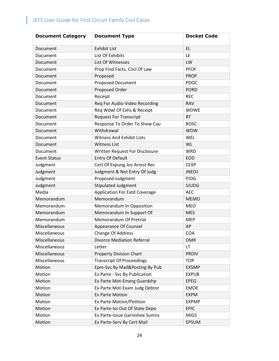| <b>Document Category</b> | <b>Document Type</b>                 | <b>Docket Code</b> |
|--------------------------|--------------------------------------|--------------------|
| Document                 | <b>Exhibit List</b>                  | <b>EL</b>          |
| Document                 | List Of Exhibits                     | LE                 |
| Document                 | List Of Witnesses                    | LW                 |
| Document                 | Prop Find Facts, Cncl Of Law         | <b>PFOF</b>        |
| Document                 | Proposed                             | <b>PROP</b>        |
| Document                 | <b>Proposed Document</b>             | <b>PDOC</b>        |
| Document                 | Proposed Order                       | <b>PORD</b>        |
| Document                 | Receipt                              | <b>REC</b>         |
| Document                 | Req For Audio-Video Recording        | <b>RAV</b>         |
| Document                 | Req Wdwl Of Exhs & Receipt           | <b>WDWE</b>        |
| Document                 | <b>Request For Transcript</b>        | <b>RT</b>          |
| Document                 | Response To Order To Show Cau        | <b>ROSC</b>        |
| Document                 | Withdrawal                           | <b>WDW</b>         |
| Document                 | <b>Witness And Exhibit Lists</b>     | <b>WEL</b>         |
| Document                 | <b>Witness List</b>                  | <b>WL</b>          |
| Document                 | Written Request For Disclosure       | <b>WRD</b>         |
| <b>Event Status</b>      | <b>Entry Of Default</b>              | <b>EOD</b>         |
| Judgment                 | Cert Of Expung Juv Arrest Rec        | <b>CEXP</b>        |
| Judgment                 | Judgment & Not Entry Of Judg         | <b>JNEOJ</b>       |
| Judgment                 | Proposed Judgment                    | <b>PJDG</b>        |
| Judgment                 | Stipulated Judgment                  | <b>SJUDG</b>       |
| Media                    | <b>Application For Extd Coverage</b> | <b>AEC</b>         |
| Memorandum               | Memorandum                           | <b>MEMO</b>        |
| Memorandum               | Memorandum In Opposition             | <b>MEO</b>         |
| Memorandum               | Memorandum In Support Of             | <b>MES</b>         |
| Memorandum               | Memorandum Of Pretrial               | <b>MEP</b>         |
| Miscellaneous            | Appearance Of Counsel                | AP                 |
| Miscellaneous            | <b>Change Of Address</b>             | <b>COA</b>         |
| Miscellaneous            | <b>Divorce Mediation Referral</b>    | <b>DMR</b>         |
| Miscellaneous            | Letter                               | LT                 |
| Miscellaneous            | <b>Property Division Chart</b>       | <b>PRDIV</b>       |
| Miscellaneous            | <b>Transcript Of Proceedings</b>     | <b>TOP</b>         |
| Motion                   | Epm-Svc By Mail&Posting By Pub       | <b>EXSMP</b>       |
| Motion                   | Ex Parte - Svc By Publication        | <b>EXPUB</b>       |
| Motion                   | Ex Parte Mot-Emerg Guardshp          | <b>EPEG</b>        |
| Motion                   | Ex Parte Mot-Exam Judg Debtor        | <b>EMOE</b>        |
| Motion                   | <b>Ex Parte Motion</b>               | <b>EXPM</b>        |
| Motion                   | Ex Parte Motion/Petition             | <b>EXPMP</b>       |
| Motion                   | Ex Parte-Iss Out Of State Depo       | <b>EPIC</b>        |
| Motion                   | Ex Parte-Issue Garnishee Sumns       | <b>MIGS</b>        |
| Motion                   | Ex Parte-Serv By Cert Mail           | <b>EPSUM</b>       |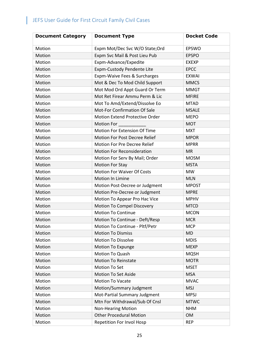| <b>Document Category</b> | <b>Document Type</b>                | <b>Docket Code</b> |
|--------------------------|-------------------------------------|--------------------|
| Motion                   | Expm Mot/Dec Svc W/O State;Ord      | <b>EPSWO</b>       |
| Motion                   | Expm Svc Mail & Post Lieu Pub       | <b>EPSPO</b>       |
| Motion                   | Expm-Advance/Expedite               | <b>EXEXP</b>       |
| Motion                   | <b>Expm-Custody Pendente Lite</b>   | <b>EPCC</b>        |
| Motion                   | Expm-Waive Fees & Surcharges        | <b>EXWAI</b>       |
| Motion                   | Mot & Dec To Mod Child Support      | <b>MMCS</b>        |
| Motion                   | Mot Mod Ord Appt Guard Or Term      | <b>MMGT</b>        |
| Motion                   | Mot Ret Firear Ammu Perm & Lic      | <b>MFIRE</b>       |
| Motion                   | Mot To Amd/Extend/Dissolve Eo       | <b>MTAD</b>        |
| Motion                   | Mot-For Confirmation Of Sale        | <b>MSALE</b>       |
| Motion                   | Motion Extend Protective Order      | <b>MEPO</b>        |
| Motion                   | Motion For                          | <b>MOT</b>         |
| Motion                   | Motion For Extension Of Time        | <b>MXT</b>         |
| Motion                   | Motion For Post Decree Relief       | <b>MPOR</b>        |
| Motion                   | <b>Motion For Pre Decree Relief</b> | <b>MPRR</b>        |
| Motion                   | <b>Motion For Reconsideration</b>   | <b>MR</b>          |
| Motion                   | Motion For Serv By Mail; Order      | <b>MOSM</b>        |
| Motion                   | <b>Motion For Stay</b>              | <b>MSTA</b>        |
| Motion                   | <b>Motion For Waiver Of Costs</b>   | <b>MW</b>          |
| Motion                   | Motion In Limine                    | <b>MLN</b>         |
| Motion                   | Motion Post-Decree or Judgment      | <b>MPOST</b>       |
| Motion                   | Motion Pre-Decree or Judgment       | <b>MPRE</b>        |
| Motion                   | Motion To Appear Pro Hac Vice       | <b>MPHV</b>        |
| Motion                   | Motion To Compel Discovery          | <b>MTCD</b>        |
| Motion                   | <b>Motion To Continue</b>           | <b>MCON</b>        |
| Motion                   | Motion To Continue - Deft/Resp      | <b>MCR</b>         |
| Motion                   | Motion To Continue - Pltf/Petr      | <b>MCP</b>         |
| Motion                   | <b>Motion To Dismiss</b>            | <b>MD</b>          |
| Motion                   | <b>Motion To Dissolve</b>           | <b>MDIS</b>        |
| Motion                   | Motion To Expunge                   | <b>MEXP</b>        |
| Motion                   | Motion To Quash                     | <b>MQSH</b>        |
| Motion                   | <b>Motion To Reinstate</b>          | <b>MOTR</b>        |
| Motion                   | Motion To Set                       | <b>MSET</b>        |
| Motion                   | <b>Motion To Set Aside</b>          | <b>MSA</b>         |
| Motion                   | <b>Motion To Vacate</b>             | <b>MVAC</b>        |
| Motion                   | Motion/Summary Judgment             | <b>MSJ</b>         |
| Motion                   | Mot-Partial Summary Judgment        | <b>MPSJ</b>        |
| Motion                   | Mtn For Withdrawal/Sub Of Cnsl      | <b>MTWC</b>        |
| Motion                   | <b>Non-Hearing Motion</b>           | <b>NHM</b>         |
| Motion                   | <b>Other Procedural Motion</b>      | <b>OM</b>          |
| Motion                   | Repetition For Invol Hosp           | <b>REP</b>         |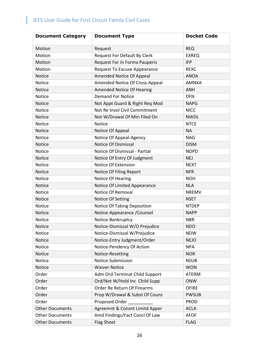| <b>Document Category</b> | <b>Document Type</b>                | <b>Docket Code</b> |
|--------------------------|-------------------------------------|--------------------|
| Motion                   | Request                             | <b>REQ</b>         |
| Motion                   | <b>Request For Default By Clerk</b> | <b>EXREQ</b>       |
| Motion                   | Request For In Forma Pauperis       | <b>IFP</b>         |
| Motion                   | Request To Excuse Appearance        | <b>REXC</b>        |
| Notice                   | Amended Notice Of Appeal            | <b>ANOA</b>        |
| Notice                   | Amended Notice Of Cross-Appeal      | <b>AMNXA</b>       |
| Notice                   | Amended Notice Of Hearing           | <b>ANH</b>         |
| Notice                   | <b>Demand For Notice</b>            | <b>DFN</b>         |
| Notice                   | Not Appt Guard & Right Req Mod      | <b>NAPG</b>        |
| Notice                   | Not Re Invol Civil Commitment       | <b>NICC</b>        |
| Notice                   | Not W/Drawal Of Mtn Filed On        | <b>NWDL</b>        |
| Notice                   | <b>Notice</b>                       | <b>NTCE</b>        |
| <b>Notice</b>            | Notice Of Appeal                    | <b>NA</b>          |
| Notice                   | Notice Of Appeal-Agency             | <b>NAG</b>         |
| Notice                   | <b>Notice Of Dismissal</b>          | <b>DISM</b>        |
| Notice                   | Notice Of Dismissal - Partial       | <b>NOPD</b>        |
| <b>Notice</b>            | Notice Of Entry Of Judgment         | <b>NEJ</b>         |
| Notice                   | <b>Notice Of Extension</b>          | <b>NEXT</b>        |
| Notice                   | Notice Of Filing Report             | <b>NFR</b>         |
| Notice                   | Notice Of Hearing                   | <b>NOH</b>         |
| Notice                   | Notice Of Limited Appearance        | <b>NLA</b>         |
| Notice                   | Notice Of Removal                   | <b>NREMV</b>       |
| Notice                   | Notice Of Setting                   | <b>NSET</b>        |
| <b>Notice</b>            | <b>Notice Of Taking Deposition</b>  | <b>NTDEP</b>       |
| Notice                   | Notice-Appearance / Counsel         | <b>NAPP</b>        |
| Notice                   | Notice-Bankruptcy                   | <b>NBR</b>         |
| Notice                   | Notice-Dismissal W/O Prejudice      | <b>NDO</b>         |
| Notice                   | Notice-Dismissal W/Prejudice        | <b>NDW</b>         |
| Notice                   | Notice-Entry Judgment/Order         | <b>NEJO</b>        |
| Notice                   | Notice-Pendency Of Action           | <b>NPA</b>         |
| Notice                   | Notice-Resetting                    | <b>NOR</b>         |
| Notice                   | Notice-Submission                   | <b>NSUB</b>        |
| Notice                   | Waiver-Notice                       | <b>WON</b>         |
| Order                    | Adm Ord Terminat Child Support      | <b>ATERM</b>       |
| Order                    | Ord/Not W/Hold Inc Child Supp       | <b>ONW</b>         |
| Order                    | Order Re Return Of Firearms         | <b>OFIRE</b>       |
| Order                    | Prop W/Drawal & Subst Of Couns      | <b>PWSUB</b>       |
| Order                    | Proposed Order                      | <b>PROD</b>        |
| <b>Other Documents</b>   | Agreemnt & Consnt Limitd Apper      | <b>ACLA</b>        |
| <b>Other Documents</b>   | Amd Findings/Fact Concl Of Law      | <b>AFOF</b>        |
| <b>Other Documents</b>   | <b>Flag Sheet</b>                   | <b>FLAG</b>        |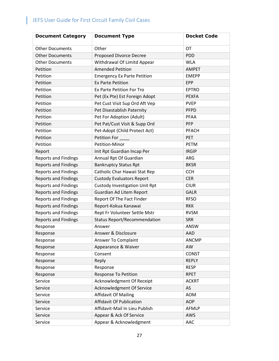| <b>Document Category</b>    | <b>Document Type</b>                  | <b>Docket Code</b> |
|-----------------------------|---------------------------------------|--------------------|
| <b>Other Documents</b>      | Other                                 | <b>OT</b>          |
| <b>Other Documents</b>      | <b>Proposed Divorce Decree</b>        | <b>PDD</b>         |
| <b>Other Documents</b>      | Withdrawal Of Limitd Appear           | <b>WLA</b>         |
| Petition                    | <b>Amended Petition</b>               | <b>AMPET</b>       |
| Petition                    | <b>Emergency Ex Parte Petition</b>    | <b>EMEPP</b>       |
| Petition                    | <b>Ex Parte Petition</b>              | EPP                |
| Petition                    | <b>Ex Parte Petition For Tro</b>      | <b>EPTRO</b>       |
| Petition                    | Pet (Ex Pte) Est Foreign Adopt        | <b>PEXFA</b>       |
| Petition                    | Pet Cust Visit Sup Ord Aft Vep        | <b>PVEP</b>        |
| Petition                    | Pet Disestablish Paternity            | <b>PFPD</b>        |
| Petition                    | Pet For Adoption (Adult)              | <b>PFAA</b>        |
| Petition                    | Pet Pat/Cust Visit & Supp Ord         | PFP                |
| Petition                    | Pet-Adopt (Child Protect Act)         | PFACH              |
| Petition                    | Petition For _                        | PET                |
| Petition                    | Petition-Minor                        | <b>PETM</b>        |
| Report                      | Init Rpt Guardian Incap Per           | <b>IRGIP</b>       |
| <b>Reports and Findings</b> | Annual Rpt Of Guardian                | <b>ARG</b>         |
| <b>Reports and Findings</b> | <b>Bankruptcy Status Rpt</b>          | <b>BKSR</b>        |
| <b>Reports and Findings</b> | Catholic Char Hawaii Stat Rep         | <b>CCH</b>         |
| <b>Reports and Findings</b> | <b>Custody Evaluators Report</b>      | <b>CER</b>         |
| <b>Reports and Findings</b> | <b>Custody Investigation Unit Rpt</b> | <b>CIUR</b>        |
| <b>Reports and Findings</b> | Guardian Ad Litem Report              | <b>GALR</b>        |
| <b>Reports and Findings</b> | Report Of The Fact Finder             | <b>RFSO</b>        |
| <b>Reports and Findings</b> | Report-Kokua Kanawai                  | <b>RKK</b>         |
| <b>Reports and Findings</b> | Rept Fr Volunteer Settle Mstr         | <b>RVSM</b>        |
| <b>Reports and Findings</b> | <b>Status Report/Recommendation</b>   | <b>SRR</b>         |
| Response                    | Answer                                | ANSW               |
| Response                    | Answer & Disclosure                   | <b>AAD</b>         |
| Response                    | Answer To Complaint                   | <b>ANCMP</b>       |
| Response                    | Appearance & Waiver                   | AW                 |
| Response                    | Consent                               | <b>CONST</b>       |
| Response                    | Reply                                 | <b>REPLY</b>       |
| Response                    | Response                              | <b>RESP</b>        |
| Response                    | Response To Petition                  | <b>RPET</b>        |
| Service                     | Acknowledgment Of Receipt             | <b>ACKRT</b>       |
| Service                     | Acknowledgment Of Service             | AS                 |
| Service                     | <b>Affidavit Of Mailing</b>           | <b>AOM</b>         |
| Service                     | <b>Affidavit Of Publication</b>       | <b>AOP</b>         |
| Service                     | Affidavit-Mail In Lieu Publish        | AFMLP              |
| Service                     | Appear & Ack Of Service               | AWS                |
| Service                     | Appear & Acknowledgment               | <b>AAC</b>         |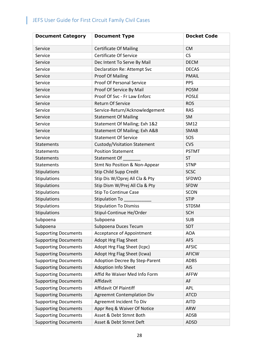| <b>Document Category</b>    | <b>Document Type</b>               | <b>Docket Code</b> |
|-----------------------------|------------------------------------|--------------------|
| Service                     | <b>Certificate Of Mailing</b>      | <b>CM</b>          |
| Service                     | <b>Certificate Of Service</b>      | CS                 |
| Service                     | Dec Intent To Serve By Mail        | <b>DECM</b>        |
| Service                     | <b>Declaration Re: Attempt Svc</b> | <b>DECAS</b>       |
| Service                     | <b>Proof Of Mailing</b>            | <b>PMAIL</b>       |
| Service                     | <b>Proof Of Personal Service</b>   | <b>PPS</b>         |
| Service                     | Proof Of Service By Mail           | <b>POSM</b>        |
| Service                     | Proof Of Svc - Fr Law Enforc       | <b>POSLE</b>       |
| Service                     | <b>Return Of Service</b>           | <b>ROS</b>         |
| Service                     | Service-Return/Acknowledgement     | <b>RAS</b>         |
| Service                     | <b>Statement Of Mailing</b>        | SM                 |
| Service                     | Statement Of Mailing; Exh 1&2      | SM12               |
| Service                     | Statement Of Mailing; Exh A&B      | <b>SMAB</b>        |
| Service                     | <b>Statement Of Service</b>        | SOS                |
| Statements                  | Custody/Visitation Statement       | <b>CVS</b>         |
| Statements                  | <b>Position Statement</b>          | <b>PSTMT</b>       |
| Statements                  | Statement Of                       | <b>ST</b>          |
| Statements                  | Stmt No Position & Non-Appear      | <b>STNP</b>        |
| Stipulations                | Stip Child Supp Credit             | <b>SCSC</b>        |
| Stipulations                | Stip Dis W/Oprej All Cla & Pty     | SFDWO              |
| Stipulations                | Stip Dism W/Prej All Cla & Pty     | <b>SFDW</b>        |
| Stipulations                | <b>Stip To Continue Case</b>       | <b>SCON</b>        |
| Stipulations                | Stipulation To _                   | <b>STIP</b>        |
| Stipulations                | <b>Stipulation To Dismiss</b>      | <b>STDSM</b>       |
| Stipulations                | Stipul-Continue He/Order           | <b>SCH</b>         |
| Subpoena                    | Subpoena                           | <b>SUB</b>         |
| Subpoena                    | Subpoena Duces Tecum               | SDT                |
| <b>Supporting Documents</b> | <b>Acceptance of Appointment</b>   | <b>AOA</b>         |
| <b>Supporting Documents</b> | Adopt Hrg Flag Sheet               | <b>AFS</b>         |
| <b>Supporting Documents</b> | Adopt Hrg Flag Sheet (Icpc)        | <b>AFSIC</b>       |
| <b>Supporting Documents</b> | Adopt Hrg Flag Sheet (Icwa)        | <b>AFICW</b>       |
| <b>Supporting Documents</b> | Adoption Decree By Step-Parent     | <b>ADBS</b>        |
| <b>Supporting Documents</b> | Adoption Info Sheet                | <b>AIS</b>         |
| <b>Supporting Documents</b> | Affid Re Waiver Med Info Form      | <b>AFFW</b>        |
| <b>Supporting Documents</b> | Affidavit                          | AF                 |
| <b>Supporting Documents</b> | Affidavit Of Plaintiff             | <b>APL</b>         |
| <b>Supporting Documents</b> | <b>Agreemnt Contemplation Div</b>  | <b>ATCD</b>        |
| <b>Supporting Documents</b> | Agreemnt Incident To Div           | <b>AITD</b>        |
| <b>Supporting Documents</b> | Appr Req & Waiver Of Notice        | <b>ARW</b>         |
| <b>Supporting Documents</b> | Asset & Debt Stmnt Both            | ADSB               |
| <b>Supporting Documents</b> | Asset & Debt Stmnt Deft            | <b>ADSD</b>        |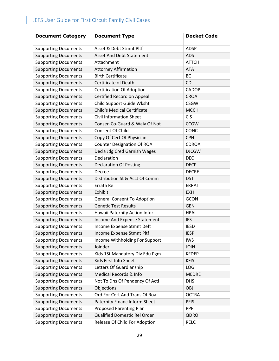| <b>Document Category</b>    | <b>Document Type</b>               | <b>Docket Code</b> |
|-----------------------------|------------------------------------|--------------------|
| <b>Supporting Documents</b> | Asset & Debt Stmnt Pltf            | <b>ADSP</b>        |
| <b>Supporting Documents</b> | <b>Asset And Debt Statement</b>    | <b>ADS</b>         |
| <b>Supporting Documents</b> | Attachment                         | <b>ATTCH</b>       |
| <b>Supporting Documents</b> | <b>Attorney Affirmation</b>        | <b>ATA</b>         |
| <b>Supporting Documents</b> | <b>Birth Certificate</b>           | <b>BC</b>          |
| <b>Supporting Documents</b> | Certificate of Death               | CD                 |
| <b>Supporting Documents</b> | <b>Certification Of Adoption</b>   | CADOP              |
| <b>Supporting Documents</b> | Certified Record on Appeal         | <b>CROA</b>        |
| <b>Supporting Documents</b> | Child Support Guide Wksht          | <b>CSGW</b>        |
| <b>Supporting Documents</b> | <b>Child's Medical Certificate</b> | <b>MCCH</b>        |
| <b>Supporting Documents</b> | <b>Civil Information Sheet</b>     | <b>CIS</b>         |
| <b>Supporting Documents</b> | Consen Co-Guard & Waiv Of Not      | <b>CCGW</b>        |
| <b>Supporting Documents</b> | Consent Of Child                   | CONC               |
| <b>Supporting Documents</b> | Copy Of Cert Of Physician          | <b>CPH</b>         |
| <b>Supporting Documents</b> | <b>Counter Designation Of ROA</b>  | <b>CDROA</b>       |
| <b>Supporting Documents</b> | Decla Jdg Cred Garnish Wages       | <b>DJCGW</b>       |
| <b>Supporting Documents</b> | Declaration                        | <b>DEC</b>         |
| <b>Supporting Documents</b> | <b>Declaration Of Posting</b>      | <b>DECP</b>        |
| <b>Supporting Documents</b> | Decree                             | <b>DECRE</b>       |
| <b>Supporting Documents</b> | Distribution St & Acct Of Comm     | <b>DST</b>         |
| <b>Supporting Documents</b> | Errata Re:                         | <b>ERRAT</b>       |
| <b>Supporting Documents</b> | Exhibit                            | <b>EXH</b>         |
| <b>Supporting Documents</b> | <b>General Consent To Adoption</b> | <b>GCON</b>        |
| <b>Supporting Documents</b> | <b>Genetic Test Results</b>        | <b>GEN</b>         |
| <b>Supporting Documents</b> | Hawaii Paternity Action Infor      | <b>HPAI</b>        |
| <b>Supporting Documents</b> | Income And Expense Statement       | <b>IES</b>         |
| <b>Supporting Documents</b> | Income Expense Stmnt Deft          | <b>IESD</b>        |
| <b>Supporting Documents</b> | Income Expense Stmnt Pltf          | <b>IESP</b>        |
| <b>Supporting Documents</b> | Income Withholding For Support     | <b>IWS</b>         |
| <b>Supporting Documents</b> | Joinder                            | <b>JOIN</b>        |
| <b>Supporting Documents</b> | Kids 1St Mandatory Div Edu Pgm     | <b>KFDEP</b>       |
| <b>Supporting Documents</b> | Kids First Info Sheet              | <b>KFIS</b>        |
| <b>Supporting Documents</b> | Letters Of Guardianship            | LOG                |
| <b>Supporting Documents</b> | Medical Records & Info             | <b>MEDRE</b>       |
| <b>Supporting Documents</b> | Not To Dhs Of Pendency Of Acti     | <b>DHS</b>         |
| <b>Supporting Documents</b> | Objections                         | OBJ                |
| <b>Supporting Documents</b> | Ord For Cert And Trans Of Roa      | <b>OCTRA</b>       |
| <b>Supporting Documents</b> | Paternity Financ Inform Sheet      | <b>PFIS</b>        |
| <b>Supporting Documents</b> | <b>Proposed Parenting Plan</b>     | <b>PPP</b>         |
| <b>Supporting Documents</b> | Qualified Domestic Rel Order       | QDRO               |
| <b>Supporting Documents</b> | Release Of Child For Adoption      | <b>RELC</b>        |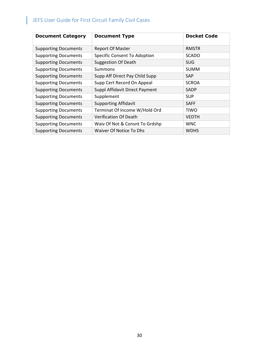| <b>Document Category</b>    | <b>Document Type</b>                | <b>Docket Code</b> |
|-----------------------------|-------------------------------------|--------------------|
| <b>Supporting Documents</b> | <b>Report Of Master</b>             | <b>RMSTR</b>       |
| <b>Supporting Documents</b> | <b>Specific Consent To Adoption</b> | <b>SCADO</b>       |
| <b>Supporting Documents</b> | <b>Suggestion Of Death</b>          | <b>SUG</b>         |
| <b>Supporting Documents</b> | Summons                             | <b>SUMM</b>        |
| <b>Supporting Documents</b> | Supp Aff Direct Pay Child Supp      | <b>SAP</b>         |
| <b>Supporting Documents</b> | Supp Cert Record On Appeal          | <b>SCROA</b>       |
| <b>Supporting Documents</b> | Suppl Affidavit Direct Payment      | <b>SADP</b>        |
| <b>Supporting Documents</b> | Supplement                          | <b>SUP</b>         |
| <b>Supporting Documents</b> | <b>Supporting Affidavit</b>         | <b>SAFF</b>        |
| <b>Supporting Documents</b> | Terminat Of Income W/Hold Ord       | <b>TIWO</b>        |
| <b>Supporting Documents</b> | <b>Verification Of Death</b>        | <b>VEDTH</b>       |
| <b>Supporting Documents</b> | Waiv Of Not & Consnt To Grdshp      | <b>WNC</b>         |
| <b>Supporting Documents</b> | Waiver Of Notice To Dhs             | <b>WDHS</b>        |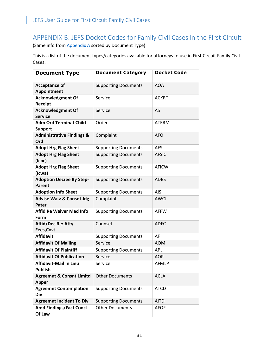### <span id="page-31-0"></span>APPENDIX B: JEFS Docket Codes for Family Civil Cases in the First Circuit

(Same info fro[m Appendix A](#page-23-0) sorted by Document Type)

This is a list of the document types/categories available for attorneys to use in First Circuit Family Civil Cases:

| <b>Document Type</b>                                | <b>Document Category</b>    | <b>Docket Code</b> |
|-----------------------------------------------------|-----------------------------|--------------------|
| <b>Acceptance of</b><br>Appointment                 | <b>Supporting Documents</b> | <b>AOA</b>         |
| <b>Acknowledgment Of</b><br>Receipt                 | Service                     | <b>ACKRT</b>       |
| <b>Acknowledgment Of</b><br><b>Service</b>          | Service                     | AS                 |
| <b>Adm Ord Terminat Child</b><br><b>Support</b>     | Order                       | <b>ATERM</b>       |
| <b>Administrative Findings &amp;</b><br>Ord         | Complaint                   | <b>AFO</b>         |
| <b>Adopt Hrg Flag Sheet</b>                         | <b>Supporting Documents</b> | <b>AFS</b>         |
| <b>Adopt Hrg Flag Sheet</b><br>(Icpc)               | <b>Supporting Documents</b> | <b>AFSIC</b>       |
| <b>Adopt Hrg Flag Sheet</b><br>(Icwa)               | <b>Supporting Documents</b> | <b>AFICW</b>       |
| <b>Adoption Decree By Step-</b><br>Parent           | <b>Supporting Documents</b> | <b>ADBS</b>        |
| <b>Adoption Info Sheet</b>                          | <b>Supporting Documents</b> | <b>AIS</b>         |
| <b>Advise Waiv &amp; Consnt Jdg</b><br>Pater        | Complaint                   | <b>AWCJ</b>        |
| <b>Affid Re Waiver Med Info</b><br>Form             | <b>Supporting Documents</b> | <b>AFFW</b>        |
| <b>Affid/Dec Re: Atty</b><br>Fees, Cost             | Counsel                     | <b>ADFC</b>        |
| <b>Affidavit</b>                                    | <b>Supporting Documents</b> | AF                 |
| <b>Affidavit Of Mailing</b>                         | Service                     | <b>AOM</b>         |
| <b>Affidavit Of Plaintiff</b>                       | <b>Supporting Documents</b> | <b>APL</b>         |
| <b>Affidavit Of Publication</b>                     | Service                     | <b>AOP</b>         |
| <b>Affidavit-Mail In Lieu</b><br><b>Publish</b>     | Service                     | <b>AFMLP</b>       |
| <b>Agreemnt &amp; Consnt Limitd</b><br><b>Apper</b> | <b>Other Documents</b>      | <b>ACLA</b>        |
| <b>Agreemnt Contemplation</b><br>Div                | <b>Supporting Documents</b> | ATCD               |
| <b>Agreemnt Incident To Div</b>                     | <b>Supporting Documents</b> | <b>AITD</b>        |
| <b>Amd Findings/Fact Concl</b><br>Of Law            | <b>Other Documents</b>      | <b>AFOF</b>        |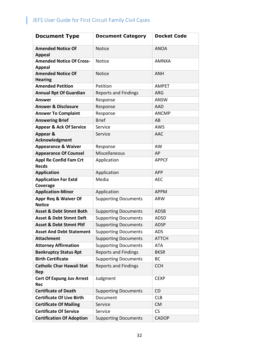| <b>Document Type</b>                             | <b>Document Category</b>    | <b>Docket Code</b> |
|--------------------------------------------------|-----------------------------|--------------------|
| <b>Amended Notice Of</b><br><b>Appeal</b>        | <b>Notice</b>               | <b>ANOA</b>        |
| <b>Amended Notice Of Cross-</b><br><b>Appeal</b> | <b>Notice</b>               | AMNXA              |
| <b>Amended Notice Of</b><br><b>Hearing</b>       | <b>Notice</b>               | <b>ANH</b>         |
| <b>Amended Petition</b>                          | Petition                    | <b>AMPET</b>       |
| <b>Annual Rpt Of Guardian</b>                    | <b>Reports and Findings</b> | ARG                |
| <b>Answer</b>                                    | Response                    | <b>ANSW</b>        |
| <b>Answer &amp; Disclosure</b>                   | Response                    | AAD                |
| <b>Answer To Complaint</b>                       | Response                    | <b>ANCMP</b>       |
| <b>Answering Brief</b>                           | <b>Brief</b>                | AB                 |
| <b>Appear &amp; Ack Of Service</b>               | Service                     | <b>AWS</b>         |
| Appear &<br>Acknowledgment                       | Service                     | AAC                |
| <b>Appearance &amp; Waiver</b>                   | Response                    | <b>AW</b>          |
| <b>Appearance Of Counsel</b>                     | Miscellaneous               | АP                 |
| <b>Appl Re Confid Fam Crt</b><br><b>Recds</b>    | Application                 | <b>APPCF</b>       |
| <b>Application</b>                               | Application                 | <b>APP</b>         |
| <b>Application For Extd</b><br>Coverage          | Media                       | AEC                |
| <b>Application-Minor</b>                         | Application                 | <b>APPM</b>        |
| <b>Appr Req &amp; Waiver Of</b><br><b>Notice</b> | <b>Supporting Documents</b> | ARW                |
| <b>Asset &amp; Debt Stmnt Both</b>               | <b>Supporting Documents</b> | <b>ADSB</b>        |
| <b>Asset &amp; Debt Stmnt Deft</b>               | <b>Supporting Documents</b> | <b>ADSD</b>        |
| <b>Asset &amp; Debt Stmnt Pltf</b>               | <b>Supporting Documents</b> | <b>ADSP</b>        |
| <b>Asset And Debt Statement</b>                  | <b>Supporting Documents</b> | ADS                |
| <b>Attachment</b>                                | <b>Supporting Documents</b> | <b>ATTCH</b>       |
| <b>Attorney Affirmation</b>                      | <b>Supporting Documents</b> | <b>ATA</b>         |
| <b>Bankruptcy Status Rpt</b>                     | <b>Reports and Findings</b> | <b>BKSR</b>        |
| <b>Birth Certificate</b>                         | <b>Supporting Documents</b> | <b>BC</b>          |
| <b>Catholic Char Hawaii Stat</b><br>Rep          | <b>Reports and Findings</b> | <b>CCH</b>         |
| <b>Cert Of Expung Juv Arrest</b><br>Rec          | Judgment                    | <b>CEXP</b>        |
| <b>Certificate of Death</b>                      | <b>Supporting Documents</b> | CD                 |
| <b>Certificate Of Live Birth</b>                 | Document                    | <b>CLB</b>         |
| <b>Certificate Of Mailing</b>                    | Service                     | <b>CM</b>          |
| <b>Certificate Of Service</b>                    | Service                     | CS.                |
| <b>Certification Of Adoption</b>                 | <b>Supporting Documents</b> | CADOP              |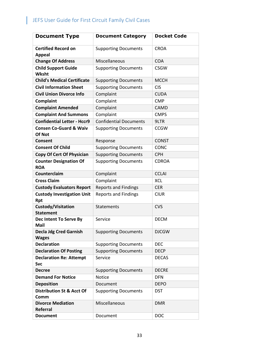| <b>Document Type</b>                            | <b>Document Category</b>      | <b>Docket Code</b> |
|-------------------------------------------------|-------------------------------|--------------------|
| <b>Certified Record on</b><br><b>Appeal</b>     | <b>Supporting Documents</b>   | CROA               |
| <b>Change Of Address</b>                        | Miscellaneous                 | <b>COA</b>         |
| <b>Child Support Guide</b><br>Wksht             | <b>Supporting Documents</b>   | <b>CSGW</b>        |
| <b>Child's Medical Certificate</b>              | <b>Supporting Documents</b>   | <b>MCCH</b>        |
| <b>Civil Information Sheet</b>                  | <b>Supporting Documents</b>   | <b>CIS</b>         |
| <b>Civil Union Divorce Info</b>                 | Complaint                     | <b>CUDA</b>        |
| <b>Complaint</b>                                | Complaint                     | <b>CMP</b>         |
| <b>Complaint Amended</b>                        | Complaint                     | CAMD               |
| <b>Complaint And Summons</b>                    | Complaint                     | <b>CMPS</b>        |
| <b>Confidential Letter - Hccr9</b>              | <b>Confidential Documents</b> | 9LTR               |
| <b>Consen Co-Guard &amp; Waiv</b><br>Of Not     | <b>Supporting Documents</b>   | <b>CCGW</b>        |
| Consent                                         | Response                      | <b>CONST</b>       |
| <b>Consent Of Child</b>                         | <b>Supporting Documents</b>   | <b>CONC</b>        |
| <b>Copy Of Cert Of Physician</b>                | <b>Supporting Documents</b>   | <b>CPH</b>         |
| <b>Counter Designation Of</b><br><b>ROA</b>     | <b>Supporting Documents</b>   | <b>CDROA</b>       |
| Counterclaim                                    | Complaint                     | <b>CCLAI</b>       |
| <b>Cross Claim</b>                              | Complaint                     | <b>XCL</b>         |
| <b>Custody Evaluators Report</b>                | <b>Reports and Findings</b>   | <b>CER</b>         |
| <b>Custody Investigation Unit</b><br><b>Rpt</b> | <b>Reports and Findings</b>   | <b>CIUR</b>        |
| Custody/Visitation<br><b>Statement</b>          | Statements                    | <b>CVS</b>         |
| Dec Intent To Serve By<br><b>Mail</b>           | Service                       | <b>DECM</b>        |
| <b>Decla Jdg Cred Garnish</b><br>Wages          | <b>Supporting Documents</b>   | <b>DJCGW</b>       |
| <b>Declaration</b>                              | <b>Supporting Documents</b>   | <b>DEC</b>         |
| <b>Declaration Of Posting</b>                   | <b>Supporting Documents</b>   | <b>DECP</b>        |
| <b>Declaration Re: Attempt</b><br><b>Svc</b>    | Service                       | <b>DECAS</b>       |
| <b>Decree</b>                                   | <b>Supporting Documents</b>   | <b>DECRE</b>       |
| <b>Demand For Notice</b>                        | Notice                        | <b>DFN</b>         |
| <b>Deposition</b>                               | Document                      | <b>DEPO</b>        |
| <b>Distribution St &amp; Acct Of</b><br>Comm    | <b>Supporting Documents</b>   | <b>DST</b>         |
| <b>Divorce Mediation</b><br>Referral            | Miscellaneous                 | <b>DMR</b>         |
| <b>Document</b>                                 | Document                      | <b>DOC</b>         |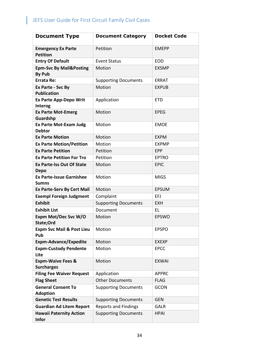| <b>Document Type</b>                                | <b>Document Category</b>    | <b>Docket Code</b> |
|-----------------------------------------------------|-----------------------------|--------------------|
| <b>Emergency Ex Parte</b><br><b>Petition</b>        | Petition                    | <b>EMEPP</b>       |
| <b>Entry Of Default</b>                             | <b>Event Status</b>         | <b>EOD</b>         |
| <b>Epm-Svc By Mail&amp;Posting</b><br><b>By Pub</b> | Motion                      | <b>EXSMP</b>       |
| <b>Errata Re:</b>                                   | <b>Supporting Documents</b> | <b>ERRAT</b>       |
| Ex Parte - Svc By<br><b>Publication</b>             | Motion                      | <b>EXPUB</b>       |
| <b>Ex Parte App-Depo Writ</b><br>Interog            | Application                 | <b>ETD</b>         |
| <b>Ex Parte Mot-Emerg</b><br>Guardshp               | Motion                      | <b>EPEG</b>        |
| <b>Ex Parte Mot-Exam Judg</b><br><b>Debtor</b>      | Motion                      | <b>EMOE</b>        |
| <b>Ex Parte Motion</b>                              | Motion                      | <b>EXPM</b>        |
| <b>Ex Parte Motion/Petition</b>                     | Motion                      | <b>EXPMP</b>       |
| <b>Ex Parte Petition</b>                            | Petition                    | <b>EPP</b>         |
| <b>Ex Parte Petition For Tro</b>                    | Petition                    | <b>EPTRO</b>       |
| <b>Ex Parte-Iss Out Of State</b><br><b>Depo</b>     | Motion                      | <b>EPIC</b>        |
| <b>Ex Parte-Issue Garnishee</b><br>Sumns            | Motion                      | <b>MIGS</b>        |
| <b>Ex Parte-Serv By Cert Mail</b>                   | Motion                      | <b>EPSUM</b>       |
| <b>Exempl Foreign Judgment</b>                      | Complaint                   | EFJ                |
| <b>Exhibit</b>                                      | <b>Supporting Documents</b> | <b>EXH</b>         |
| <b>Exhibit List</b>                                 | Document                    | EL                 |
| Expm Mot/Dec Svc W/O<br>State;Ord                   | Motion                      | <b>EPSWO</b>       |
| <b>Expm Svc Mail &amp; Post Lieu</b><br>Pub         | Motion                      | <b>EPSPO</b>       |
| <b>Expm-Advance/Expedite</b>                        | Motion                      | <b>EXEXP</b>       |
| <b>Expm-Custody Pendente</b><br>Lite                | Motion                      | <b>EPCC</b>        |
| <b>Expm-Waive Fees &amp;</b><br><b>Surcharges</b>   | Motion                      | <b>EXWAI</b>       |
| <b>Filing Fee Waiver Request</b>                    | Application                 | <b>APPRC</b>       |
| <b>Flag Sheet</b>                                   | <b>Other Documents</b>      | <b>FLAG</b>        |
| <b>General Consent To</b><br><b>Adoption</b>        | <b>Supporting Documents</b> | <b>GCON</b>        |
| <b>Genetic Test Results</b>                         | <b>Supporting Documents</b> | <b>GEN</b>         |
| <b>Guardian Ad Litem Report</b>                     | <b>Reports and Findings</b> | GALR               |
| <b>Hawaii Paternity Action</b><br><b>Infor</b>      | <b>Supporting Documents</b> | <b>HPAI</b>        |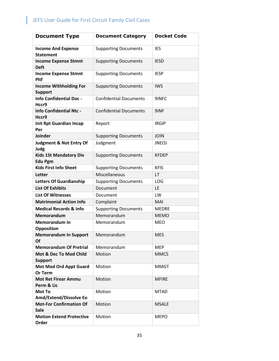| <b>Document Type</b>                            | <b>Document Category</b>      | <b>Docket Code</b> |
|-------------------------------------------------|-------------------------------|--------------------|
| <b>Income And Expense</b><br><b>Statement</b>   | <b>Supporting Documents</b>   | <b>IES</b>         |
| <b>Income Expense Stmnt</b><br><b>Deft</b>      | <b>Supporting Documents</b>   | <b>IESD</b>        |
| <b>Income Expense Stmnt</b><br><b>Pltf</b>      | <b>Supporting Documents</b>   | <b>IESP</b>        |
| <b>Income Withholding For</b><br><b>Support</b> | <b>Supporting Documents</b>   | <b>IWS</b>         |
| <b>Info Confidential Doc -</b><br>Hccr9         | <b>Confidential Documents</b> | 9INFC              |
| <b>Info Confidential Ntc -</b><br>Hccr9         | <b>Confidential Documents</b> | 9INF               |
| <b>Init Rpt Guardian Incap</b><br>Per           | Report                        | <b>IRGIP</b>       |
| Joinder                                         | <b>Supporting Documents</b>   | <b>JOIN</b>        |
| <b>Judgment &amp; Not Entry Of</b><br>Judg      | Judgment                      | <b>JNEOJ</b>       |
| <b>Kids 1St Mandatory Div</b><br><b>Edu Pgm</b> | <b>Supporting Documents</b>   | <b>KFDEP</b>       |
| <b>Kids First Info Sheet</b>                    | <b>Supporting Documents</b>   | <b>KFIS</b>        |
| Letter                                          | Miscellaneous                 | LT                 |
| <b>Letters Of Guardianship</b>                  | <b>Supporting Documents</b>   | LOG                |
| <b>List Of Exhibits</b>                         | Document                      | LE                 |
| <b>List Of Witnesses</b>                        | Document                      | LW                 |
| <b>Matrimonial Action Info</b>                  | Complaint                     | MAI                |
| <b>Medical Records &amp; Info</b>               | <b>Supporting Documents</b>   | <b>MEDRE</b>       |
| Memorandum                                      | Memorandum                    | <b>MEMO</b>        |
| <b>Memorandum In</b><br>Opposition              | Memorandum                    | <b>MEO</b>         |
| <b>Memorandum In Support</b><br><b>Of</b>       | Memorandum                    | <b>MES</b>         |
| <b>Memorandum Of Pretrial</b>                   | Memorandum                    | <b>MEP</b>         |
| Mot & Dec To Mod Child<br><b>Support</b>        | Motion                        | <b>MMCS</b>        |
| <b>Mot Mod Ord Appt Guard</b><br>Or Term        | Motion                        | <b>MMGT</b>        |
| <b>Mot Ret Firear Ammu</b><br>Perm & Lic        | Motion                        | <b>MFIRE</b>       |
| Mot To<br>Amd/Extend/Dissolve Eo                | Motion                        | <b>MTAD</b>        |
| <b>Mot-For Confirmation Of</b><br><b>Sale</b>   | Motion                        | <b>MSALE</b>       |
| <b>Motion Extend Protective</b><br>Order        | Motion                        | <b>MEPO</b>        |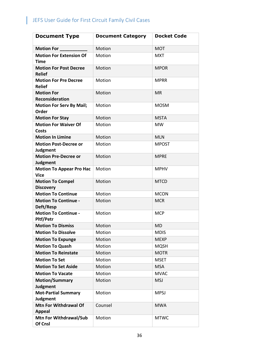| <b>Document Type</b>                           | <b>Document Category</b> | <b>Docket Code</b> |
|------------------------------------------------|--------------------------|--------------------|
| Motion For ___                                 | Motion                   | <b>MOT</b>         |
| <b>Motion For Extension Of</b><br><b>Time</b>  | Motion                   | <b>MXT</b>         |
| <b>Motion For Post Decree</b><br><b>Relief</b> | Motion                   | <b>MPOR</b>        |
| <b>Motion For Pre Decree</b><br><b>Relief</b>  | Motion                   | <b>MPRR</b>        |
| <b>Motion For</b><br><b>Reconsideration</b>    | Motion                   | <b>MR</b>          |
| <b>Motion For Serv By Mail;</b><br>Order       | Motion                   | <b>MOSM</b>        |
| <b>Motion For Stay</b>                         | Motion                   | <b>MSTA</b>        |
| <b>Motion For Waiver Of</b><br><b>Costs</b>    | Motion                   | <b>MW</b>          |
| <b>Motion In Limine</b>                        | Motion                   | <b>MLN</b>         |
| <b>Motion Post-Decree or</b><br>Judgment       | Motion                   | <b>MPOST</b>       |
| <b>Motion Pre-Decree or</b><br><b>Judgment</b> | Motion                   | <b>MPRE</b>        |
| <b>Motion To Appear Pro Hac</b><br><b>Vice</b> | Motion                   | <b>MPHV</b>        |
| <b>Motion To Compel</b><br><b>Discovery</b>    | Motion                   | <b>MTCD</b>        |
| <b>Motion To Continue</b>                      | Motion                   | <b>MCON</b>        |
| <b>Motion To Continue -</b><br>Deft/Resp       | Motion                   | <b>MCR</b>         |
| <b>Motion To Continue -</b><br>Pltf/Petr       | Motion                   | <b>MCP</b>         |
| <b>Motion To Dismiss</b>                       | Motion                   | <b>MD</b>          |
| <b>Motion To Dissolve</b>                      | Motion                   | <b>MDIS</b>        |
| <b>Motion To Expunge</b>                       | Motion                   | <b>MEXP</b>        |
| <b>Motion To Quash</b>                         | Motion                   | <b>MQSH</b>        |
| <b>Motion To Reinstate</b>                     | Motion                   | <b>MOTR</b>        |
| <b>Motion To Set</b>                           | Motion                   | <b>MSET</b>        |
| <b>Motion To Set Aside</b>                     | Motion                   | <b>MSA</b>         |
| <b>Motion To Vacate</b>                        | Motion                   | <b>MVAC</b>        |
| <b>Motion/Summary</b><br><b>Judgment</b>       | Motion                   | <b>MSJ</b>         |
| <b>Mot-Partial Summary</b><br>Judgment         | Motion                   | <b>MPSJ</b>        |
| <b>Mtn For Withdrawal Of</b><br><b>Appeal</b>  | Counsel                  | <b>MWA</b>         |
| Mtn For Withdrawal/Sub<br>Of Cnsl              | Motion                   | <b>MTWC</b>        |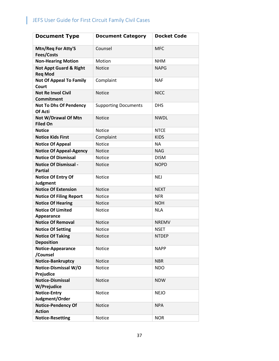| <b>Document Type</b>                                | <b>Document Category</b>    | <b>Docket Code</b> |
|-----------------------------------------------------|-----------------------------|--------------------|
| Mtn/Req For Atty'S<br>Fees/Costs                    | Counsel                     | <b>MFC</b>         |
| <b>Non-Hearing Motion</b>                           | Motion                      | <b>NHM</b>         |
| <b>Not Appt Guard &amp; Right</b><br><b>Req Mod</b> | <b>Notice</b>               | <b>NAPG</b>        |
| <b>Not Of Appeal To Family</b><br>Court             | Complaint                   | <b>NAF</b>         |
| <b>Not Re Invol Civil</b><br><b>Commitment</b>      | <b>Notice</b>               | <b>NICC</b>        |
| <b>Not To Dhs Of Pendency</b><br>Of Acti            | <b>Supporting Documents</b> | <b>DHS</b>         |
| Not W/Drawal Of Mtn<br><b>Filed On</b>              | <b>Notice</b>               | <b>NWDL</b>        |
| <b>Notice</b>                                       | Notice                      | <b>NTCE</b>        |
| <b>Notice Kids First</b>                            | Complaint                   | <b>KIDS</b>        |
| <b>Notice Of Appeal</b>                             | <b>Notice</b>               | <b>NA</b>          |
| <b>Notice Of Appeal-Agency</b>                      | <b>Notice</b>               | <b>NAG</b>         |
| <b>Notice Of Dismissal</b>                          | Notice                      | <b>DISM</b>        |
| <b>Notice Of Dismissal -</b><br><b>Partial</b>      | <b>Notice</b>               | <b>NOPD</b>        |
| <b>Notice Of Entry Of</b><br><b>Judgment</b>        | Notice                      | <b>NEJ</b>         |
| <b>Notice Of Extension</b>                          | <b>Notice</b>               | <b>NEXT</b>        |
| <b>Notice Of Filing Report</b>                      | Notice                      | <b>NFR</b>         |
| <b>Notice Of Hearing</b>                            | <b>Notice</b>               | <b>NOH</b>         |
| <b>Notice Of Limited</b><br>Appearance              | Notice                      | <b>NLA</b>         |
| <b>Notice Of Removal</b>                            | Notice                      | <b>NREMV</b>       |
| <b>Notice Of Setting</b>                            | <b>Notice</b>               | <b>NSET</b>        |
| <b>Notice Of Taking</b><br><b>Deposition</b>        | Notice                      | <b>NTDEP</b>       |
| Notice-Appearance<br>/Counsel                       | Notice                      | <b>NAPP</b>        |
| Notice-Bankruptcy                                   | <b>Notice</b>               | <b>NBR</b>         |
| <b>Notice-Dismissal W/O</b><br>Prejudice            | Notice                      | <b>NDO</b>         |
| <b>Notice-Dismissal</b><br>W/Prejudice              | Notice                      | <b>NDW</b>         |
| <b>Notice-Entry</b><br>Judgment/Order               | Notice                      | <b>NEJO</b>        |
| <b>Notice-Pendency Of</b><br><b>Action</b>          | Notice                      | <b>NPA</b>         |
| <b>Notice-Resetting</b>                             | Notice                      | <b>NOR</b>         |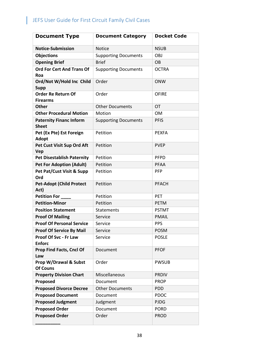| <b>Document Type</b>                           | <b>Document Category</b>    | <b>Docket Code</b> |
|------------------------------------------------|-----------------------------|--------------------|
| <b>Notice-Submission</b>                       | <b>Notice</b>               | <b>NSUB</b>        |
| <b>Objections</b>                              | <b>Supporting Documents</b> | <b>OBJ</b>         |
| <b>Opening Brief</b>                           | <b>Brief</b>                | <b>OB</b>          |
| <b>Ord For Cert And Trans Of</b><br>Roa        | <b>Supporting Documents</b> | <b>OCTRA</b>       |
| Ord/Not W/Hold Inc Child                       | Order                       | <b>ONW</b>         |
| <b>Supp</b>                                    |                             |                    |
| <b>Order Re Return Of</b>                      | Order                       | <b>OFIRE</b>       |
| <b>Firearms</b>                                |                             |                    |
| <b>Other</b>                                   | <b>Other Documents</b>      | OT                 |
| <b>Other Procedural Motion</b>                 | Motion                      | <b>OM</b>          |
| <b>Paternity Financ Inform</b><br><b>Sheet</b> | <b>Supporting Documents</b> | <b>PFIS</b>        |
| Pet (Ex Pte) Est Foreign<br><b>Adopt</b>       | Petition                    | <b>PEXFA</b>       |
| Pet Cust Visit Sup Ord Aft<br>Vep              | Petition                    | <b>PVEP</b>        |
| <b>Pet Disestablish Paternity</b>              | Petition                    | PFPD               |
| <b>Pet For Adoption (Adult)</b>                | Petition                    | PFAA               |
| Pet Pat/Cust Visit & Supp<br>Ord               | Petition                    | <b>PFP</b>         |
| <b>Pet-Adopt (Child Protect</b><br>Act)        | Petition                    | <b>PFACH</b>       |
| <b>Petition For</b>                            | Petition                    | <b>PET</b>         |
| <b>Petition-Minor</b>                          | Petition                    | <b>PETM</b>        |
| <b>Position Statement</b>                      | Statements                  | <b>PSTMT</b>       |
| <b>Proof Of Mailing</b>                        | Service                     | <b>PMAIL</b>       |
| <b>Proof Of Personal Service</b>               | Service                     | <b>PPS</b>         |
| <b>Proof Of Service By Mail</b>                | Service                     | <b>POSM</b>        |
| Proof Of Svc - Fr Law<br><b>Enforc</b>         | Service                     | <b>POSLE</b>       |
| <b>Prop Find Facts, Cncl Of</b><br>Law         | Document                    | <b>PFOF</b>        |
| Prop W/Drawal & Subst<br><b>Of Couns</b>       | Order                       | <b>PWSUB</b>       |
| <b>Property Division Chart</b>                 | Miscellaneous               | <b>PRDIV</b>       |
| Proposed                                       | Document                    | <b>PROP</b>        |
| <b>Proposed Divorce Decree</b>                 | <b>Other Documents</b>      | <b>PDD</b>         |
| <b>Proposed Document</b>                       | Document                    | <b>PDOC</b>        |
| <b>Proposed Judgment</b>                       | Judgment                    | <b>PJDG</b>        |
| <b>Proposed Order</b>                          | Document                    | <b>PORD</b>        |
| <b>Proposed Order</b>                          | Order                       | <b>PROD</b>        |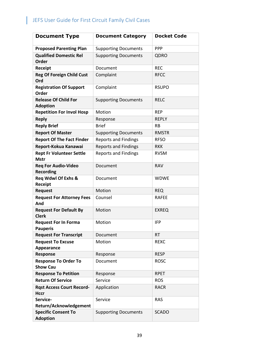| <b>Document Type</b>                            | <b>Document Category</b>    | <b>Docket Code</b> |
|-------------------------------------------------|-----------------------------|--------------------|
| <b>Proposed Parenting Plan</b>                  | <b>Supporting Documents</b> | <b>PPP</b>         |
| <b>Qualified Domestic Rel</b><br>Order          | <b>Supporting Documents</b> | QDRO               |
| <b>Receipt</b>                                  | Document                    | <b>REC</b>         |
| <b>Reg Of Foreign Child Cust</b><br>Ord         | Complaint                   | <b>RFCC</b>        |
| <b>Registration Of Support</b><br>Order         | Complaint                   | <b>RSUPO</b>       |
| <b>Release Of Child For</b><br><b>Adoption</b>  | <b>Supporting Documents</b> | <b>RELC</b>        |
| <b>Repetition For Invol Hosp</b>                | Motion                      | <b>REP</b>         |
| <b>Reply</b>                                    | Response                    | <b>REPLY</b>       |
| <b>Reply Brief</b>                              | <b>Brief</b>                | <b>RB</b>          |
| <b>Report Of Master</b>                         | <b>Supporting Documents</b> | <b>RMSTR</b>       |
| <b>Report Of The Fact Finder</b>                | <b>Reports and Findings</b> | <b>RFSO</b>        |
| Report-Kokua Kanawai                            | <b>Reports and Findings</b> | <b>RKK</b>         |
| <b>Rept Fr Volunteer Settle</b><br><b>Mstr</b>  | <b>Reports and Findings</b> | <b>RVSM</b>        |
| <b>Req For Audio-Video</b><br><b>Recording</b>  | Document                    | <b>RAV</b>         |
| <b>Req Wdwl Of Exhs &amp;</b><br>Receipt        | Document                    | <b>WDWE</b>        |
| <b>Request</b>                                  | Motion                      | <b>REQ</b>         |
| <b>Request For Attorney Fees</b><br>And         | Counsel                     | <b>RAFEE</b>       |
| <b>Request For Default By</b><br><b>Clerk</b>   | Motion                      | <b>EXREQ</b>       |
| <b>Request For In Forma</b><br><b>Pauperis</b>  | Motion                      | <b>IFP</b>         |
| <b>Request For Transcript</b>                   | Document                    | <b>RT</b>          |
| <b>Request To Excuse</b><br>Appearance          | Motion                      | <b>REXC</b>        |
| Response                                        | Response                    | <b>RESP</b>        |
| <b>Response To Order To</b><br><b>Show Cau</b>  | Document                    | <b>ROSC</b>        |
| <b>Response To Petition</b>                     | Response                    | <b>RPET</b>        |
| <b>Return Of Service</b>                        | Service                     | <b>ROS</b>         |
| <b>Rqst Access Court Record-</b><br><b>Hccr</b> | Application                 | <b>RACR</b>        |
| Service-<br>Return/Acknowledgement              | Service                     | <b>RAS</b>         |
| <b>Specific Consent To</b><br><b>Adoption</b>   | <b>Supporting Documents</b> | <b>SCADO</b>       |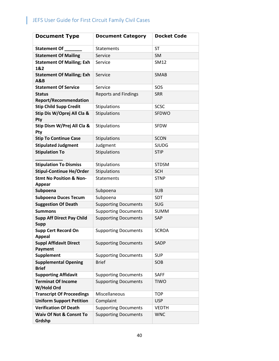| <b>Document Type</b>                                | <b>Document Category</b>    | <b>Docket Code</b> |
|-----------------------------------------------------|-----------------------------|--------------------|
| Statement Of                                        | Statements                  | <b>ST</b>          |
| <b>Statement Of Mailing</b>                         | Service                     | <b>SM</b>          |
| <b>Statement Of Mailing; Exh</b><br>1&2             | Service                     | SM12               |
| <b>Statement Of Mailing; Exh</b><br><b>A&amp;B</b>  | Service                     | <b>SMAB</b>        |
| <b>Statement Of Service</b>                         | Service                     | SOS                |
| <b>Status</b><br><b>Report/Recommendation</b>       | <b>Reports and Findings</b> | <b>SRR</b>         |
| <b>Stip Child Supp Credit</b>                       | Stipulations                | <b>SCSC</b>        |
| Stip Dis W/Oprej All Cla &<br>Pty                   | Stipulations                | SFDWO              |
| Stip Dism W/Prej All Cla &<br>Pty                   | Stipulations                | <b>SFDW</b>        |
| <b>Stip To Continue Case</b>                        | Stipulations                | <b>SCON</b>        |
| <b>Stipulated Judgment</b>                          | Judgment                    | <b>SJUDG</b>       |
| <b>Stipulation To</b>                               | Stipulations                | <b>STIP</b>        |
| <b>Stipulation To Dismiss</b>                       | Stipulations                | <b>STDSM</b>       |
| <b>Stipul-Continue He/Order</b>                     | Stipulations                | <b>SCH</b>         |
| <b>Stmt No Position &amp; Non-</b><br><b>Appear</b> | <b>Statements</b>           | <b>STNP</b>        |
| Subpoena                                            | Subpoena                    | <b>SUB</b>         |
| <b>Subpoena Duces Tecum</b>                         | Subpoena                    | <b>SDT</b>         |
| <b>Suggestion Of Death</b>                          | <b>Supporting Documents</b> | <b>SUG</b>         |
| <b>Summons</b>                                      | <b>Supporting Documents</b> | <b>SUMM</b>        |
| <b>Supp Aff Direct Pay Child</b><br><b>Supp</b>     | <b>Supporting Documents</b> | SAP                |
| <b>Supp Cert Record On</b><br>Appeal                | <b>Supporting Documents</b> | <b>SCROA</b>       |
| <b>Suppl Affidavit Direct</b><br>Payment            | <b>Supporting Documents</b> | <b>SADP</b>        |
| Supplement                                          | <b>Supporting Documents</b> | <b>SUP</b>         |
| <b>Supplemental Opening</b><br><b>Brief</b>         | <b>Brief</b>                | SOB                |
| <b>Supporting Affidavit</b>                         | <b>Supporting Documents</b> | <b>SAFF</b>        |
| <b>Terminat Of Income</b><br>W/Hold Ord             | <b>Supporting Documents</b> | <b>TIWO</b>        |
| <b>Transcript Of Proceedings</b>                    | Miscellaneous               | <b>TOP</b>         |
| <b>Uniform Support Petition</b>                     | Complaint                   | <b>USP</b>         |
| <b>Verification Of Death</b>                        | <b>Supporting Documents</b> | <b>VEDTH</b>       |
| Waiv Of Not & Consnt To<br>Grdshp                   | <b>Supporting Documents</b> | <b>WNC</b>         |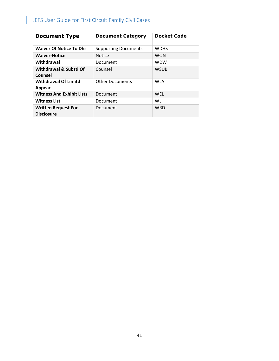| <b>Document Type</b>                            | <b>Document Category</b>    | <b>Docket Code</b> |
|-------------------------------------------------|-----------------------------|--------------------|
| <b>Waiver Of Notice To Dhs</b>                  | <b>Supporting Documents</b> | <b>WDHS</b>        |
| <b>Waiver-Notice</b>                            | <b>Notice</b>               | <b>WON</b>         |
| Withdrawal                                      | Document                    | <b>WDW</b>         |
| Withdrawal & Substi Of<br>Counsel               | Counsel                     | <b>WSUB</b>        |
| <b>Withdrawal Of Limitd</b><br>Appear           | <b>Other Documents</b>      | <b>WLA</b>         |
| <b>Witness And Exhibit Lists</b>                | Document                    | WEL                |
| <b>Witness List</b>                             | Document                    | WL                 |
| <b>Written Request For</b><br><b>Disclosure</b> | <b>Document</b>             | <b>WRD</b>         |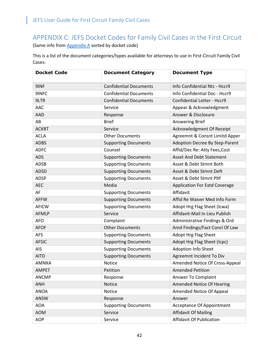### <span id="page-42-0"></span>APPENDIX C: JEFS Docket Codes for Family Civil Cases in the First Circuit

(Same info from **Appendix A** sorted by docket code)

This is a list of the document categories/types available for attorneys to use in First Circuit Family Civil Cases:

| <b>Docket Code</b> | <b>Document Category</b>      | <b>Document Type</b>                 |
|--------------------|-------------------------------|--------------------------------------|
| 9INF               | <b>Confidential Documents</b> | Info Confidential Ntc - Hccr9        |
| 9INFC              | <b>Confidential Documents</b> | Info Confidential Doc - Hccr9        |
| 9LTR               | <b>Confidential Documents</b> | Confidential Letter - Hccr9          |
| AAC                | Service                       | Appear & Acknowledgment              |
| <b>AAD</b>         | Response                      | Answer & Disclosure                  |
| AB                 | <b>Brief</b>                  | <b>Answering Brief</b>               |
| <b>ACKRT</b>       | Service                       | Acknowledgment Of Receipt            |
| <b>ACLA</b>        | <b>Other Documents</b>        | Agreemnt & Consnt Limitd Apper       |
| <b>ADBS</b>        | <b>Supporting Documents</b>   | Adoption Decree By Step-Parent       |
| <b>ADFC</b>        | Counsel                       | Affid/Dec Re: Atty Fees, Cost        |
| <b>ADS</b>         | <b>Supporting Documents</b>   | <b>Asset And Debt Statement</b>      |
| <b>ADSB</b>        | <b>Supporting Documents</b>   | Asset & Debt Stmnt Both              |
| <b>ADSD</b>        | <b>Supporting Documents</b>   | Asset & Debt Stmnt Deft              |
| <b>ADSP</b>        | <b>Supporting Documents</b>   | Asset & Debt Stmnt Pltf              |
| <b>AEC</b>         | Media                         | <b>Application For Extd Coverage</b> |
| AF                 | <b>Supporting Documents</b>   | Affidavit                            |
| <b>AFFW</b>        | <b>Supporting Documents</b>   | Affid Re Waiver Med Info Form        |
| <b>AFICW</b>       | <b>Supporting Documents</b>   | Adopt Hrg Flag Sheet (Icwa)          |
| <b>AFMLP</b>       | Service                       | Affidavit-Mail In Lieu Publish       |
| <b>AFO</b>         | Complaint                     | Administrative Findings & Ord        |
| <b>AFOF</b>        | <b>Other Documents</b>        | Amd Findings/Fact Concl Of Law       |
| <b>AFS</b>         | <b>Supporting Documents</b>   | Adopt Hrg Flag Sheet                 |
| <b>AFSIC</b>       | <b>Supporting Documents</b>   | Adopt Hrg Flag Sheet (Icpc)          |
| <b>AIS</b>         | <b>Supporting Documents</b>   | Adoption Info Sheet                  |
| <b>AITD</b>        | <b>Supporting Documents</b>   | Agreemnt Incident To Div             |
| AMNXA              | <b>Notice</b>                 | Amended Notice Of Cross-Appeal       |
| <b>AMPET</b>       | Petition                      | <b>Amended Petition</b>              |
| <b>ANCMP</b>       | Response                      | Answer To Complaint                  |
| <b>ANH</b>         | Notice                        | <b>Amended Notice Of Hearing</b>     |
| <b>ANOA</b>        | Notice                        | Amended Notice Of Appeal             |
| <b>ANSW</b>        | Response                      | Answer                               |
| <b>AOA</b>         | <b>Supporting Documents</b>   | <b>Acceptance Of Appointment</b>     |
| <b>AOM</b>         | Service                       | <b>Affidavit Of Mailing</b>          |
| <b>AOP</b>         | Service                       | <b>Affidavit Of Publication</b>      |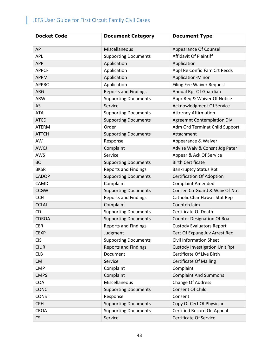| <b>Docket Code</b> | <b>Document Category</b>    | <b>Document Type</b>                  |
|--------------------|-----------------------------|---------------------------------------|
| AP                 | Miscellaneous               | <b>Appearance Of Counsel</b>          |
| <b>APL</b>         | <b>Supporting Documents</b> | Affidavit Of Plaintiff                |
| <b>APP</b>         | Application                 | Application                           |
| <b>APPCF</b>       | Application                 | Appl Re Confid Fam Crt Recds          |
| <b>APPM</b>        | Application                 | Application-Minor                     |
| <b>APPRC</b>       | Application                 | <b>Filing Fee Waiver Request</b>      |
| <b>ARG</b>         | <b>Reports and Findings</b> | Annual Rpt Of Guardian                |
| <b>ARW</b>         | <b>Supporting Documents</b> | Appr Req & Waiver Of Notice           |
| AS                 | Service                     | Acknowledgment Of Service             |
| <b>ATA</b>         | <b>Supporting Documents</b> | <b>Attorney Affirmation</b>           |
| <b>ATCD</b>        | <b>Supporting Documents</b> | <b>Agreemnt Contemplation Div</b>     |
| ATERM              | Order                       | Adm Ord Terminat Child Support        |
| <b>ATTCH</b>       | <b>Supporting Documents</b> | Attachment                            |
| AW                 | Response                    | Appearance & Waiver                   |
| <b>AWCJ</b>        | Complaint                   | Advise Waiv & Consnt Jdg Pater        |
| AWS                | Service                     | Appear & Ack Of Service               |
| <b>BC</b>          | <b>Supporting Documents</b> | <b>Birth Certificate</b>              |
| <b>BKSR</b>        | <b>Reports and Findings</b> | <b>Bankruptcy Status Rpt</b>          |
| <b>CADOP</b>       | <b>Supporting Documents</b> | <b>Certification Of Adoption</b>      |
| CAMD               | Complaint                   | <b>Complaint Amended</b>              |
| <b>CCGW</b>        | <b>Supporting Documents</b> | Consen Co-Guard & Waiv Of Not         |
| <b>CCH</b>         | <b>Reports and Findings</b> | Catholic Char Hawaii Stat Rep         |
| <b>CCLAI</b>       | Complaint                   | Counterclaim                          |
| <b>CD</b>          | <b>Supporting Documents</b> | <b>Certificate Of Death</b>           |
| <b>CDROA</b>       | <b>Supporting Documents</b> | <b>Counter Designation Of Roa</b>     |
| <b>CER</b>         | <b>Reports and Findings</b> | <b>Custody Evaluators Report</b>      |
| <b>CEXP</b>        | Judgment                    | Cert Of Expung Juv Arrest Rec         |
| <b>CIS</b>         | <b>Supporting Documents</b> | <b>Civil Information Sheet</b>        |
| <b>CIUR</b>        | <b>Reports and Findings</b> | <b>Custody Investigation Unit Rpt</b> |
| <b>CLB</b>         | Document                    | Certificate Of Live Birth             |
| <b>CM</b>          | Service                     | <b>Certificate Of Mailing</b>         |
| <b>CMP</b>         | Complaint                   | Complaint                             |
| <b>CMPS</b>        | Complaint                   | <b>Complaint And Summons</b>          |
| COA                | Miscellaneous               | Change Of Address                     |
| <b>CONC</b>        | <b>Supporting Documents</b> | <b>Consent Of Child</b>               |
| <b>CONST</b>       | Response                    | Consent                               |
| <b>CPH</b>         | <b>Supporting Documents</b> | Copy Of Cert Of Physician             |
| <b>CROA</b>        | <b>Supporting Documents</b> | Certified Record On Appeal            |
| CS                 | Service                     | Certificate Of Service                |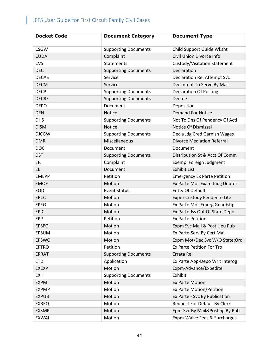| <b>Docket Code</b> | <b>Document Category</b>    | <b>Document Type</b>               |
|--------------------|-----------------------------|------------------------------------|
| <b>CSGW</b>        | <b>Supporting Documents</b> | Child Support Guide Wksht          |
| <b>CUDA</b>        | Complaint                   | Civil Union Divorce Info           |
| <b>CVS</b>         | <b>Statements</b>           | Custody/Visitation Statement       |
| <b>DEC</b>         | <b>Supporting Documents</b> | Declaration                        |
| <b>DECAS</b>       | Service                     | <b>Declaration Re: Attempt Svc</b> |
| <b>DECM</b>        | Service                     | Dec Intent To Serve By Mail        |
| <b>DECP</b>        | <b>Supporting Documents</b> | <b>Declaration Of Posting</b>      |
| <b>DECRE</b>       | <b>Supporting Documents</b> | Decree                             |
| <b>DEPO</b>        | Document                    | Deposition                         |
| <b>DFN</b>         | <b>Notice</b>               | <b>Demand For Notice</b>           |
| <b>DHS</b>         | <b>Supporting Documents</b> | Not To Dhs Of Pendency Of Acti     |
| <b>DISM</b>        | <b>Notice</b>               | Notice Of Dismissal                |
| <b>DJCGW</b>       | <b>Supporting Documents</b> | Decla Jdg Cred Garnish Wages       |
| <b>DMR</b>         | Miscellaneous               | <b>Divorce Mediation Referral</b>  |
| <b>DOC</b>         | Document                    | Document                           |
| <b>DST</b>         | <b>Supporting Documents</b> | Distribution St & Acct Of Comm     |
| EFJ                | Complaint                   | <b>Exempl Foreign Judgment</b>     |
| <b>EL</b>          | Document                    | <b>Exhibit List</b>                |
| <b>EMEPP</b>       | Petition                    | <b>Emergency Ex Parte Petition</b> |
| <b>EMOE</b>        | Motion                      | Ex Parte Mot-Exam Judg Debtor      |
| <b>EOD</b>         | <b>Event Status</b>         | Entry Of Default                   |
| <b>EPCC</b>        | Motion                      | Expm-Custody Pendente Lite         |
| <b>EPEG</b>        | Motion                      | Ex Parte Mot-Emerg Guardshp        |
| <b>EPIC</b>        | Motion                      | Ex Parte-Iss Out Of State Depo     |
| <b>EPP</b>         | Petition                    | <b>Ex Parte Petition</b>           |
| <b>EPSPO</b>       | Motion                      | Expm Svc Mail & Post Lieu Pub      |
| <b>EPSUM</b>       | Motion                      | Ex Parte-Serv By Cert Mail         |
| <b>EPSWO</b>       | Motion                      | Expm Mot/Dec Svc W/O State;Ord     |
| <b>EPTRO</b>       | Petition                    | Ex Parte Petition For Tro          |
| <b>ERRAT</b>       | <b>Supporting Documents</b> | Errata Re:                         |
| <b>ETD</b>         | Application                 | Ex Parte App-Depo Writ Interog     |
| <b>EXEXP</b>       | Motion                      | Expm-Advance/Expedite              |
| <b>EXH</b>         | <b>Supporting Documents</b> | Exhibit                            |
| <b>EXPM</b>        | Motion                      | <b>Ex Parte Motion</b>             |
| <b>EXPMP</b>       | Motion                      | Ex Parte Motion/Petition           |
| <b>EXPUB</b>       | Motion                      | Ex Parte - Svc By Publication      |
| <b>EXREQ</b>       | Motion                      | Request For Default By Clerk       |
| <b>EXSMP</b>       | Motion                      | Epm-Svc By Mail&Posting By Pub     |
| <b>EXWAI</b>       | Motion                      | Expm-Waive Fees & Surcharges       |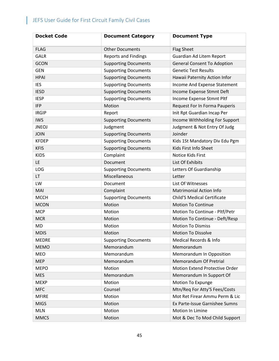| <b>Docket Code</b> | <b>Document Category</b>    | <b>Document Type</b>               |
|--------------------|-----------------------------|------------------------------------|
| <b>FLAG</b>        | <b>Other Documents</b>      | <b>Flag Sheet</b>                  |
| <b>GALR</b>        | <b>Reports and Findings</b> | Guardian Ad Litem Report           |
| <b>GCON</b>        | <b>Supporting Documents</b> | <b>General Consent To Adoption</b> |
| <b>GEN</b>         | <b>Supporting Documents</b> | <b>Genetic Test Results</b>        |
| <b>HPAI</b>        | <b>Supporting Documents</b> | Hawaii Paternity Action Infor      |
| <b>IES</b>         | <b>Supporting Documents</b> | Income And Expense Statement       |
| <b>IESD</b>        | <b>Supporting Documents</b> | Income Expense Stmnt Deft          |
| <b>IESP</b>        | <b>Supporting Documents</b> | Income Expense Stmnt Pltf          |
| <b>IFP</b>         | Motion                      | Request For In Forma Pauperis      |
| <b>IRGIP</b>       | Report                      | Init Rpt Guardian Incap Per        |
| <b>IWS</b>         | <b>Supporting Documents</b> | Income Withholding For Support     |
| <b>JNEOJ</b>       | Judgment                    | Judgment & Not Entry Of Judg       |
| <b>JOIN</b>        | <b>Supporting Documents</b> | Joinder                            |
| <b>KFDEP</b>       | <b>Supporting Documents</b> | Kids 1St Mandatory Div Edu Pgm     |
| <b>KFIS</b>        | <b>Supporting Documents</b> | Kids First Info Sheet              |
| <b>KIDS</b>        | Complaint                   | Notice Kids First                  |
| LE                 | Document                    | List Of Exhibits                   |
| LOG                | <b>Supporting Documents</b> | Letters Of Guardianship            |
| <b>LT</b>          | Miscellaneous               | Letter                             |
| LW                 | Document                    | List Of Witnesses                  |
| MAI                | Complaint                   | <b>Matrimonial Action Info</b>     |
| <b>MCCH</b>        | <b>Supporting Documents</b> | <b>Child'S Medical Certificate</b> |
| <b>MCON</b>        | Motion                      | <b>Motion To Continue</b>          |
| <b>MCP</b>         | Motion                      | Motion To Continue - Pltf/Petr     |
| <b>MCR</b>         | Motion                      | Motion To Continue - Deft/Resp     |
| <b>MD</b>          | Motion                      | <b>Motion To Dismiss</b>           |
| <b>MDIS</b>        | Motion                      | <b>Motion To Dissolve</b>          |
| <b>MEDRE</b>       | <b>Supporting Documents</b> | Medical Records & Info             |
| <b>MEMO</b>        | Memorandum                  | Memorandum                         |
| <b>MEO</b>         | Memorandum                  | Memorandum In Opposition           |
| <b>MEP</b>         | Memorandum                  | Memorandum Of Pretrial             |
| <b>MEPO</b>        | Motion                      | Motion Extend Protective Order     |
| <b>MES</b>         | Memorandum                  | Memorandum In Support Of           |
| <b>MEXP</b>        | Motion                      | Motion To Expunge                  |
| <b>MFC</b>         | Counsel                     | Mtn/Req For Atty'S Fees/Costs      |
| <b>MFIRE</b>       | Motion                      | Mot Ret Firear Ammu Perm & Lic     |
| <b>MIGS</b>        | Motion                      | Ex Parte-Issue Garnishee Sumns     |
| <b>MLN</b>         | Motion                      | Motion In Limine                   |
| <b>MMCS</b>        | Motion                      | Mot & Dec To Mod Child Support     |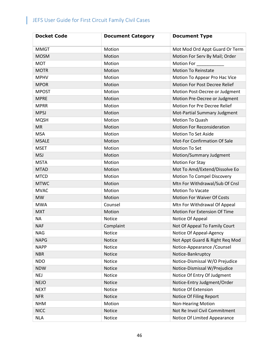| <b>Docket Code</b> | <b>Document Category</b> | <b>Document Type</b>                |
|--------------------|--------------------------|-------------------------------------|
| <b>MMGT</b>        | Motion                   | Mot Mod Ord Appt Guard Or Term      |
| <b>MOSM</b>        | Motion                   | Motion For Serv By Mail; Order      |
| <b>MOT</b>         | Motion                   | Motion For                          |
| <b>MOTR</b>        | Motion                   | <b>Motion To Reinstate</b>          |
| <b>MPHV</b>        | Motion                   | Motion To Appear Pro Hac Vice       |
| <b>MPOR</b>        | Motion                   | Motion For Post Decree Relief       |
| <b>MPOST</b>       | Motion                   | Motion Post-Decree or Judgment      |
| <b>MPRE</b>        | Motion                   | Motion Pre-Decree or Judgment       |
| <b>MPRR</b>        | Motion                   | Motion For Pre Decree Relief        |
| <b>MPSJ</b>        | Motion                   | Mot-Partial Summary Judgment        |
| <b>MQSH</b>        | Motion                   | <b>Motion To Quash</b>              |
| <b>MR</b>          | Motion                   | <b>Motion For Reconsideration</b>   |
| <b>MSA</b>         | Motion                   | <b>Motion To Set Aside</b>          |
| <b>MSALE</b>       | Motion                   | <b>Mot-For Confirmation Of Sale</b> |
| <b>MSET</b>        | Motion                   | <b>Motion To Set</b>                |
| <b>MSJ</b>         | Motion                   | Motion/Summary Judgment             |
| <b>MSTA</b>        | Motion                   | <b>Motion For Stay</b>              |
| <b>MTAD</b>        | Motion                   | Mot To Amd/Extend/Dissolve Eo       |
| <b>MTCD</b>        | Motion                   | Motion To Compel Discovery          |
| <b>MTWC</b>        | Motion                   | Mtn For Withdrawal/Sub Of Cnsl      |
| <b>MVAC</b>        | Motion                   | <b>Motion To Vacate</b>             |
| <b>MW</b>          | Motion                   | <b>Motion For Waiver Of Costs</b>   |
| <b>MWA</b>         | Counsel                  | Mtn For Withdrawal Of Appeal        |
| <b>MXT</b>         | Motion                   | Motion For Extension Of Time        |
| <b>NA</b>          | Notice                   | Notice Of Appeal                    |
| <b>NAF</b>         | Complaint                | Not Of Appeal To Family Court       |
| <b>NAG</b>         | Notice                   | Notice Of Appeal-Agency             |
| <b>NAPG</b>        | Notice                   | Not Appt Guard & Right Req Mod      |
| <b>NAPP</b>        | Notice                   | Notice-Appearance / Counsel         |
| <b>NBR</b>         | Notice                   | Notice-Bankruptcy                   |
| <b>NDO</b>         | Notice                   | Notice-Dismissal W/O Prejudice      |
| <b>NDW</b>         | Notice                   | Notice-Dismissal W/Prejudice        |
| <b>NEJ</b>         | Notice                   | Notice Of Entry Of Judgment         |
| <b>NEJO</b>        | Notice                   | Notice-Entry Judgment/Order         |
| <b>NEXT</b>        | Notice                   | Notice Of Extension                 |
| <b>NFR</b>         | Notice                   | Notice Of Filing Report             |
| <b>NHM</b>         | Motion                   | <b>Non-Hearing Motion</b>           |
| <b>NICC</b>        | Notice                   | Not Re Invol Civil Commitment       |
| <b>NLA</b>         | Notice                   | Notice Of Limited Appearance        |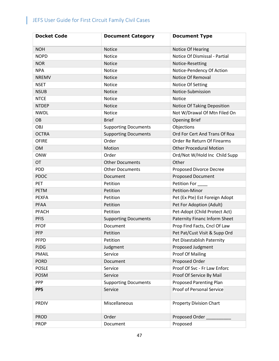| <b>Docket Code</b> | <b>Document Category</b>    | <b>Document Type</b>             |
|--------------------|-----------------------------|----------------------------------|
| <b>NOH</b>         | <b>Notice</b>               | Notice Of Hearing                |
| <b>NOPD</b>        | <b>Notice</b>               | Notice Of Dismissal - Partial    |
| <b>NOR</b>         | Notice                      | Notice-Resetting                 |
| <b>NPA</b>         | Notice                      | Notice-Pendency Of Action        |
| <b>NREMV</b>       | <b>Notice</b>               | <b>Notice Of Removal</b>         |
| <b>NSET</b>        | Notice                      | Notice Of Setting                |
| <b>NSUB</b>        | Notice                      | Notice-Submission                |
| <b>NTCE</b>        | <b>Notice</b>               | <b>Notice</b>                    |
| <b>NTDEP</b>       | Notice                      | Notice Of Taking Deposition      |
| <b>NWDL</b>        | Notice                      | Not W/Drawal Of Mtn Filed On     |
| OB                 | <b>Brief</b>                | <b>Opening Brief</b>             |
| OBJ                | <b>Supporting Documents</b> | Objections                       |
| <b>OCTRA</b>       | <b>Supporting Documents</b> | Ord For Cert And Trans Of Roa    |
| <b>OFIRE</b>       | Order                       | Order Re Return Of Firearms      |
| <b>OM</b>          | Motion                      | <b>Other Procedural Motion</b>   |
| <b>ONW</b>         | Order                       | Ord/Not W/Hold Inc Child Supp    |
| OT                 | <b>Other Documents</b>      | Other                            |
| <b>PDD</b>         | <b>Other Documents</b>      | Proposed Divorce Decree          |
| <b>PDOC</b>        | Document                    | <b>Proposed Document</b>         |
| PET                | Petition                    | Petition For                     |
| <b>PETM</b>        | Petition                    | Petition-Minor                   |
| <b>PEXFA</b>       | Petition                    | Pet (Ex Pte) Est Foreign Adopt   |
| PFAA               | Petition                    | Pet For Adoption (Adult)         |
| <b>PFACH</b>       | Petition                    | Pet-Adopt (Child Protect Act)    |
| <b>PFIS</b>        | <b>Supporting Documents</b> | Paternity Financ Inform Sheet    |
| <b>PFOF</b>        | Document                    | Prop Find Facts, Cncl Of Law     |
| <b>PFP</b>         | Petition                    | Pet Pat/Cust Visit & Supp Ord    |
| <b>PFPD</b>        | Petition                    | Pet Disestablish Paternity       |
| <b>PJDG</b>        | Judgment                    | Proposed Judgment                |
| <b>PMAIL</b>       | Service                     | <b>Proof Of Mailing</b>          |
| <b>PORD</b>        | Document                    | Proposed Order                   |
| <b>POSLE</b>       | Service                     | Proof Of Svc - Fr Law Enforc     |
| <b>POSM</b>        | Service                     | Proof Of Service By Mail         |
| <b>PPP</b>         | <b>Supporting Documents</b> | <b>Proposed Parenting Plan</b>   |
| <b>PPS</b>         | Service                     | <b>Proof of Personal Service</b> |
| <b>PRDIV</b>       | Miscellaneous               | <b>Property Division Chart</b>   |
| <b>PROD</b>        | Order                       | Proposed Order                   |
| <b>PROP</b>        | Document                    | Proposed                         |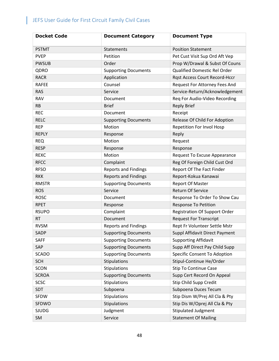| <b>Docket Code</b> | <b>Document Category</b>    | <b>Document Type</b>                 |
|--------------------|-----------------------------|--------------------------------------|
| <b>PSTMT</b>       | <b>Statements</b>           | <b>Position Statement</b>            |
| <b>PVEP</b>        | Petition                    | Pet Cust Visit Sup Ord Aft Vep       |
| <b>PWSUB</b>       | Order                       | Prop W/Drawal & Subst Of Couns       |
| QDRO               | <b>Supporting Documents</b> | Qualified Domestic Rel Order         |
| <b>RACR</b>        | Application                 | Rqst Access Court Record-Hccr        |
| <b>RAFEE</b>       | Counsel                     | Request For Attorney Fees And        |
| <b>RAS</b>         | Service                     | Service-Return/Acknowledgement       |
| <b>RAV</b>         | Document                    | Req For Audio-Video Recording        |
| <b>RB</b>          | <b>Brief</b>                | <b>Reply Brief</b>                   |
| <b>REC</b>         | Document                    | Receipt                              |
| <b>RELC</b>        | <b>Supporting Documents</b> | Release Of Child For Adoption        |
| <b>REP</b>         | Motion                      | Repetition For Invol Hosp            |
| <b>REPLY</b>       | Response                    | Reply                                |
| <b>REQ</b>         | Motion                      | Request                              |
| <b>RESP</b>        | Response                    | Response                             |
| <b>REXC</b>        | Motion                      | Request To Excuse Appearance         |
| <b>RFCC</b>        | Complaint                   | Reg Of Foreign Child Cust Ord        |
| <b>RFSO</b>        | <b>Reports and Findings</b> | Report Of The Fact Finder            |
| <b>RKK</b>         | <b>Reports and Findings</b> | Report-Kokua Kanawai                 |
| <b>RMSTR</b>       | <b>Supporting Documents</b> | <b>Report Of Master</b>              |
| <b>ROS</b>         | Service                     | <b>Return Of Service</b>             |
| <b>ROSC</b>        | Document                    | Response To Order To Show Cau        |
| <b>RPET</b>        | Response                    | <b>Response To Petition</b>          |
| <b>RSUPO</b>       | Complaint                   | <b>Registration Of Support Order</b> |
| <b>RT</b>          | Document                    | <b>Request For Transcript</b>        |
| <b>RVSM</b>        | <b>Reports and Findings</b> | Rept Fr Volunteer Settle Mstr        |
| <b>SADP</b>        | <b>Supporting Documents</b> | Suppl Affidavit Direct Payment       |
| <b>SAFF</b>        | <b>Supporting Documents</b> | <b>Supporting Affidavit</b>          |
| SAP                | <b>Supporting Documents</b> | Supp Aff Direct Pay Child Supp       |
| <b>SCADO</b>       | <b>Supporting Documents</b> | <b>Specific Consent To Adoption</b>  |
| <b>SCH</b>         | Stipulations                | Stipul-Continue He/Order             |
| <b>SCON</b>        | Stipulations                | <b>Stip To Continue Case</b>         |
| <b>SCROA</b>       | <b>Supporting Documents</b> | Supp Cert Record On Appeal           |
| <b>SCSC</b>        | Stipulations                | Stip Child Supp Credit               |
| SDT                | Subpoena                    | Subpoena Duces Tecum                 |
| SFDW               | Stipulations                | Stip Dism W/Prej All Cla & Pty       |
| SFDWO              | Stipulations                | Stip Dis W/Oprej All Cla & Pty       |
| <b>SJUDG</b>       | Judgment                    | <b>Stipulated Judgment</b>           |
| SM                 | Service                     | <b>Statement Of Mailing</b>          |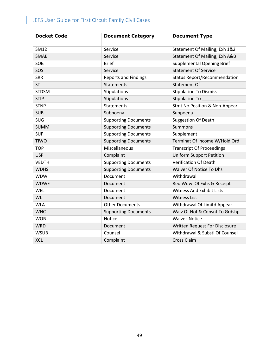| <b>Docket Code</b> | <b>Document Category</b>    | <b>Document Type</b>                |
|--------------------|-----------------------------|-------------------------------------|
| SM12               | Service                     | Statement Of Mailing; Exh 1&2       |
| <b>SMAB</b>        | Service                     | Statement Of Mailing; Exh A&B       |
| SOB                | <b>Brief</b>                | <b>Supplemental Opening Brief</b>   |
| SOS                | Service                     | <b>Statement Of Service</b>         |
| <b>SRR</b>         | <b>Reports and Findings</b> | <b>Status Report/Recommendation</b> |
| <b>ST</b>          | Statements                  | Statement Of                        |
| <b>STDSM</b>       | Stipulations                | <b>Stipulation To Dismiss</b>       |
| <b>STIP</b>        | Stipulations                | <b>Stipulation To</b>               |
| <b>STNP</b>        | <b>Statements</b>           | Stmt No Position & Non-Appear       |
| <b>SUB</b>         | Subpoena                    | Subpoena                            |
| <b>SUG</b>         | <b>Supporting Documents</b> | <b>Suggestion Of Death</b>          |
| <b>SUMM</b>        | <b>Supporting Documents</b> | <b>Summons</b>                      |
| <b>SUP</b>         | <b>Supporting Documents</b> | Supplement                          |
| <b>TIWO</b>        | <b>Supporting Documents</b> | Terminat Of Income W/Hold Ord       |
| <b>TOP</b>         | Miscellaneous               | <b>Transcript Of Proceedings</b>    |
| <b>USP</b>         | Complaint                   | <b>Uniform Support Petition</b>     |
| <b>VEDTH</b>       | <b>Supporting Documents</b> | <b>Verification Of Death</b>        |
| <b>WDHS</b>        | <b>Supporting Documents</b> | Waiver Of Notice To Dhs             |
| <b>WDW</b>         | Document                    | Withdrawal                          |
| <b>WDWE</b>        | Document                    | Req Wdwl Of Exhs & Receipt          |
| WEL                | Document                    | <b>Witness And Exhibit Lists</b>    |
| <b>WL</b>          | Document                    | <b>Witness List</b>                 |
| <b>WLA</b>         | <b>Other Documents</b>      | Withdrawal Of Limitd Appear         |
| <b>WNC</b>         | <b>Supporting Documents</b> | Waiv Of Not & Consnt To Grdshp      |
| <b>WON</b>         | Notice                      | <b>Waiver-Notice</b>                |
| <b>WRD</b>         | Document                    | Written Request For Disclosure      |
| <b>WSUB</b>        | Counsel                     | Withdrawal & Substi Of Counsel      |
| <b>XCL</b>         | Complaint                   | <b>Cross Claim</b>                  |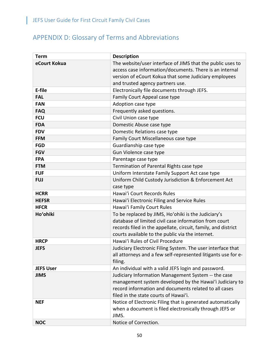# <span id="page-50-0"></span>APPENDIX D: Glossary of Terms and Abbreviations

| <b>Term</b>      | <b>Description</b>                                            |
|------------------|---------------------------------------------------------------|
| eCourt Kokua     | The website/user interface of JIMS that the public uses to    |
|                  | access case information/documents. There is an internal       |
|                  | version of eCourt Kokua that some Judiciary employees         |
|                  | and trusted agency partners use.                              |
| E-file           | Electronically file documents through JEFS.                   |
| <b>FAL</b>       | Family Court Appeal case type                                 |
| <b>FAN</b>       | Adoption case type                                            |
| <b>FAQ</b>       | Frequently asked questions.                                   |
| <b>FCU</b>       | Civil Union case type                                         |
| <b>FDA</b>       | Domestic Abuse case type                                      |
| <b>FDV</b>       | Domestic Relations case type                                  |
| <b>FFM</b>       | Family Court Miscellaneous case type                          |
| <b>FGD</b>       | Guardianship case type                                        |
| <b>FGV</b>       | Gun Violence case type                                        |
| <b>FPA</b>       | Parentage case type                                           |
| <b>FTM</b>       | Termination of Parental Rights case type                      |
| <b>FUF</b>       | Uniform Interstate Family Support Act case type               |
| <b>FUJ</b>       | Uniform Child Custody Jurisdiction & Enforcement Act          |
|                  | case type                                                     |
| <b>HCRR</b>      | Hawai'i Court Records Rules                                   |
| <b>HEFSR</b>     | Hawai'i Electronic Filing and Service Rules                   |
| <b>HFCR</b>      | Hawai'i Family Court Rules                                    |
| Ho'ohiki         | To be replaced by JIMS, Ho'ohiki is the Judiciary's           |
|                  | database of limited civil case information from court         |
|                  | records filed in the appellate, circuit, family, and district |
|                  | courts available to the public via the internet.              |
| <b>HRCP</b>      | Hawai'i Rules of Civil Procedure                              |
| <b>JEFS</b>      | Judiciary Electronic Filing System. The user interface that   |
|                  | all attorneys and a few self-represented litigants use for e- |
|                  | filing.                                                       |
| <b>JEFS User</b> | An individual with a valid JEFS login and password.           |
| <b>JIMS</b>      | Judiciary Information Management System -- the case           |
|                  | management system developed by the Hawai'i Judiciary to       |
|                  | record information and documents related to all cases         |
|                  | filed in the state courts of Hawai'i.                         |
| <b>NEF</b>       | Notice of Electronic Filing that is generated automatically   |
|                  | when a document is filed electronically through JEFS or       |
|                  | JIMS.                                                         |
| <b>NOC</b>       | Notice of Correction.                                         |